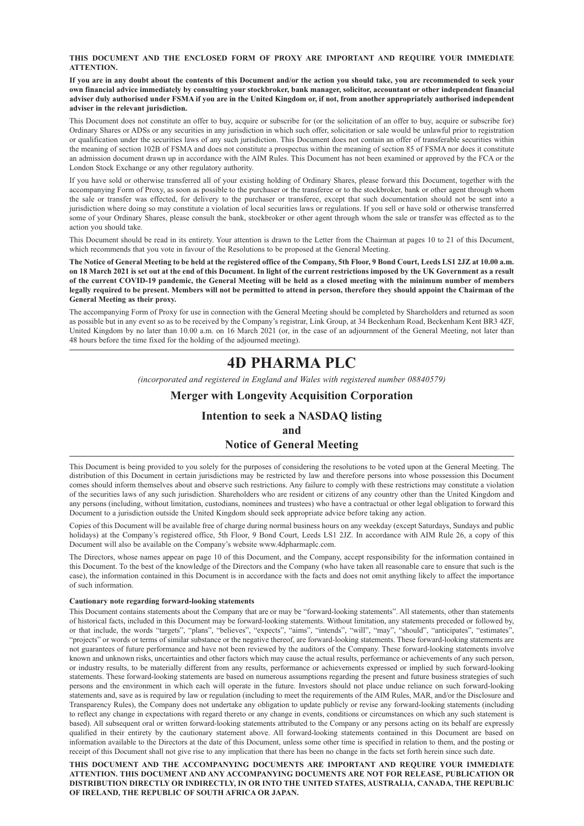#### **THIS DOCUMENT AND THE ENCLOSED FORM OF PROXY ARE IMPORTANT AND REQUIRE YOUR IMMEDIATE ATTENTION.**

**If you are in any doubt about the contents of this Document and/or the action you should take, you are recommended to seek your own financial advice immediately by consulting your stockbroker, bank manager, solicitor, accountant or other independent financial adviser duly authorised under FSMA if you are in the United Kingdom or, if not, from another appropriately authorised independent adviser in the relevant jurisdiction.**

This Document does not constitute an offer to buy, acquire or subscribe for (or the solicitation of an offer to buy, acquire or subscribe for) Ordinary Shares or ADSs or any securities in any jurisdiction in which such offer, solicitation or sale would be unlawful prior to registration or qualification under the securities laws of any such jurisdiction. This Document does not contain an offer of transferable securities within the meaning of section 102B of FSMA and does not constitute a prospectus within the meaning of section 85 of FSMA nor does it constitute an admission document drawn up in accordance with the AIM Rules. This Document has not been examined or approved by the FCA or the London Stock Exchange or any other regulatory authority.

If you have sold or otherwise transferred all of your existing holding of Ordinary Shares, please forward this Document, together with the accompanying Form of Proxy, as soon as possible to the purchaser or the transferee or to the stockbroker, bank or other agent through whom the sale or transfer was effected, for delivery to the purchaser or transferee, except that such documentation should not be sent into a jurisdiction where doing so may constitute a violation of local securities laws or regulations. If you sell or have sold or otherwise transferred some of your Ordinary Shares, please consult the bank, stockbroker or other agent through whom the sale or transfer was effected as to the action you should take.

This Document should be read in its entirety. Your attention is drawn to the Letter from the Chairman at pages 10 to 21 of this Document, which recommends that you vote in favour of the Resolutions to be proposed at the General Meeting.

**The Notice of General Meeting to be held at the registered office of the Company, 5th Floor, 9 Bond Court, Leeds LS1 2JZ at 10.00 a.m. on 18 March 2021 is set out at the end of this Document. In light of the current restrictions imposed by the UK Government as a result of the current COVID-19 pandemic, the General Meeting will be held as a closed meeting with the minimum number of members legally required to be present. Members will not be permitted to attend in person, therefore they should appoint the Chairman of the General Meeting as their proxy.**

The accompanying Form of Proxy for use in connection with the General Meeting should be completed by Shareholders and returned as soon as possible but in any event so as to be received by the Company's registrar, Link Group, at 34 Beckenham Road, Beckenham Kent BR3 4ZF, United Kingdom by no later than 10.00 a.m. on 16 March 2021 (or, in the case of an adjournment of the General Meeting, not later than 48 hours before the time fixed for the holding of the adjourned meeting).

# **4D PHARMA PLC**

*(incorporated and registered in England and Wales with registered number 08840579)*

#### **Merger with Longevity Acquisition Corporation**

### **Intention to seek a NASDAQ listing**

#### **and**

#### **Notice of General Meeting**

This Document is being provided to you solely for the purposes of considering the resolutions to be voted upon at the General Meeting. The distribution of this Document in certain jurisdictions may be restricted by law and therefore persons into whose possession this Document comes should inform themselves about and observe such restrictions. Any failure to comply with these restrictions may constitute a violation of the securities laws of any such jurisdiction. Shareholders who are resident or citizens of any country other than the United Kingdom and any persons (including, without limitation, custodians, nominees and trustees) who have a contractual or other legal obligation to forward this Document to a jurisdiction outside the United Kingdom should seek appropriate advice before taking any action.

Copies of this Document will be available free of charge during normal business hours on any weekday (except Saturdays, Sundays and public holidays) at the Company's registered office, 5th Floor, 9 Bond Court, Leeds LS1 2JZ. In accordance with AIM Rule 26, a copy of this Document will also be available on the Company's website www.4dpharmaplc.com.

The Directors, whose names appear on page 10 of this Document, and the Company, accept responsibility for the information contained in this Document. To the best of the knowledge of the Directors and the Company (who have taken all reasonable care to ensure that such is the case), the information contained in this Document is in accordance with the facts and does not omit anything likely to affect the importance of such information.

#### **Cautionary note regarding forward-looking statements**

This Document contains statements about the Company that are or may be "forward-looking statements". All statements, other than statements of historical facts, included in this Document may be forward-looking statements. Without limitation, any statements preceded or followed by, or that include, the words "targets", "plans", "believes", "expects", "aims", "intends", "will", "may", "should", "anticipates", "estimates", "projects" or words or terms of similar substance or the negative thereof, are forward-looking statements. These forward-looking statements are not guarantees of future performance and have not been reviewed by the auditors of the Company. These forward-looking statements involve known and unknown risks, uncertainties and other factors which may cause the actual results, performance or achievements of any such person, or industry results, to be materially different from any results, performance or achievements expressed or implied by such forward-looking statements. These forward-looking statements are based on numerous assumptions regarding the present and future business strategies of such persons and the environment in which each will operate in the future. Investors should not place undue reliance on such forward-looking statements and, save as is required by law or regulation (including to meet the requirements of the AIM Rules, MAR, and/or the Disclosure and Transparency Rules), the Company does not undertake any obligation to update publicly or revise any forward-looking statements (including to reflect any change in expectations with regard thereto or any change in events, conditions or circumstances on which any such statement is based). All subsequent oral or written forward-looking statements attributed to the Company or any persons acting on its behalf are expressly qualified in their entirety by the cautionary statement above. All forward-looking statements contained in this Document are based on information available to the Directors at the date of this Document, unless some other time is specified in relation to them, and the posting or receipt of this Document shall not give rise to any implication that there has been no change in the facts set forth herein since such date.

**THIS DOCUMENT AND THE ACCOMPANYING DOCUMENTS ARE IMPORTANT AND REQUIRE YOUR IMMEDIATE ATTENTION. THIS DOCUMENT AND ANY ACCOMPANYING DOCUMENTS ARE NOT FOR RELEASE, PUBLICATION OR DISTRIBUTION DIRECTLY OR INDIRECTLY, IN OR INTO THE UNITED STATES, AUSTRALIA, CANADA, THE REPUBLIC OF IRELAND, THE REPUBLIC OF SOUTH AFRICA OR JAPAN.**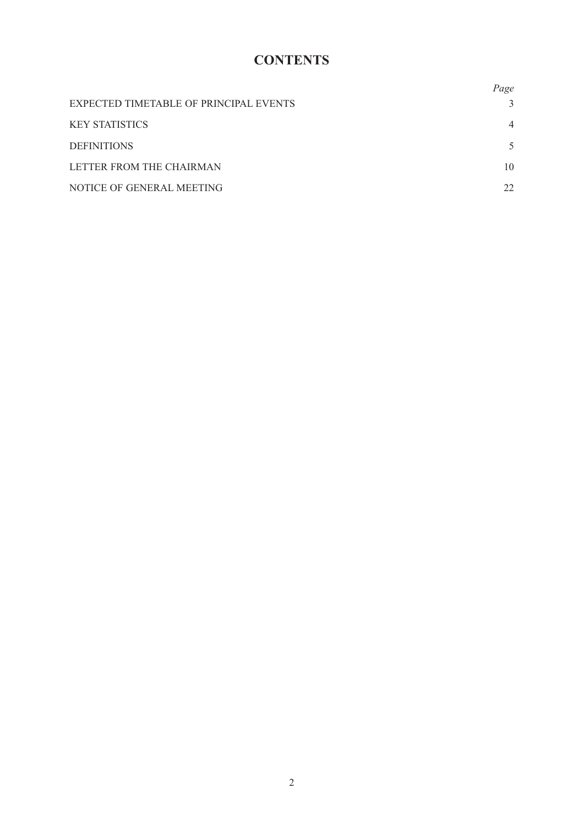# **CONTENTS**

|                                        | Page           |
|----------------------------------------|----------------|
| EXPECTED TIMETABLE OF PRINCIPAL EVENTS |                |
| <b>KEY STATISTICS</b>                  | $\overline{4}$ |
| <b>DEFINITIONS</b>                     |                |
| LETTER FROM THE CHAIRMAN               | 10             |
| NOTICE OF GENERAL MEETING              | 22             |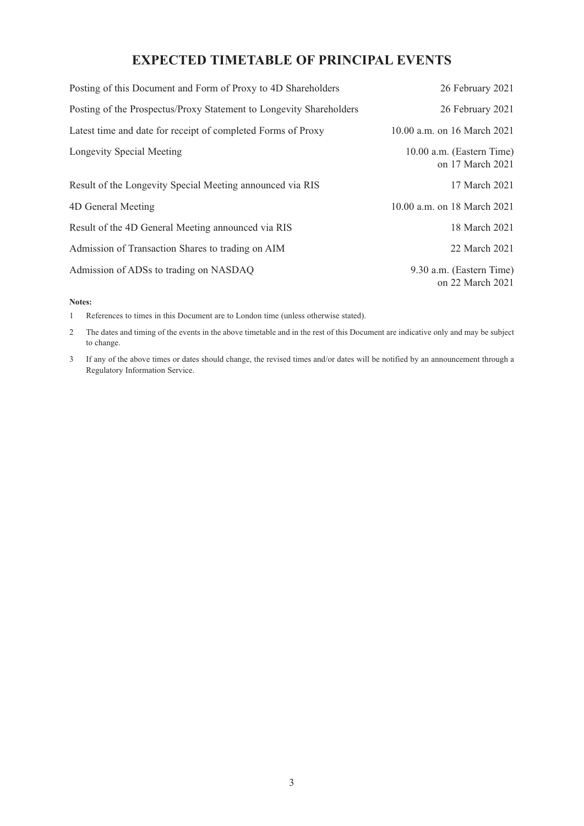# **EXPECTED TIMETABLE OF PRINCIPAL EVENTS**

| Posting of this Document and Form of Proxy to 4D Shareholders       | 26 February 2021                              |
|---------------------------------------------------------------------|-----------------------------------------------|
| Posting of the Prospectus/Proxy Statement to Longevity Shareholders | 26 February 2021                              |
| Latest time and date for receipt of completed Forms of Proxy        | 10.00 a.m. on 16 March 2021                   |
| Longevity Special Meeting                                           | 10.00 a.m. (Eastern Time)<br>on 17 March 2021 |
| Result of the Longevity Special Meeting announced via RIS           | 17 March 2021                                 |
| 4D General Meeting                                                  | 10.00 a.m. on 18 March 2021                   |
| Result of the 4D General Meeting announced via RIS                  | 18 March 2021                                 |
| Admission of Transaction Shares to trading on AIM                   | 22 March 2021                                 |
| Admission of ADSs to trading on NASDAQ                              | 9.30 a.m. (Eastern Time)<br>on 22 March 2021  |

**Notes:**

1 References to times in this Document are to London time (unless otherwise stated).

2 The dates and timing of the events in the above timetable and in the rest of this Document are indicative only and may be subject to change.

3 If any of the above times or dates should change, the revised times and/or dates will be notified by an announcement through a Regulatory Information Service.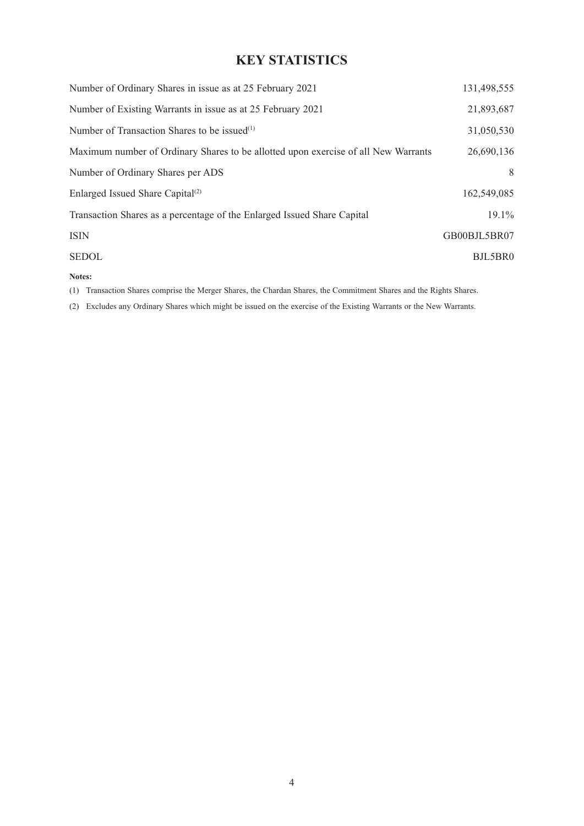# **KEY STATISTICS**

| Number of Ordinary Shares in issue as at 25 February 2021                          | 131,498,555  |
|------------------------------------------------------------------------------------|--------------|
| Number of Existing Warrants in issue as at 25 February 2021                        | 21,893,687   |
| Number of Transaction Shares to be issued <sup>(1)</sup>                           | 31,050,530   |
| Maximum number of Ordinary Shares to be allotted upon exercise of all New Warrants | 26,690,136   |
| Number of Ordinary Shares per ADS                                                  | 8            |
| Enlarged Issued Share Capital <sup>(2)</sup>                                       | 162,549,085  |
| Transaction Shares as a percentage of the Enlarged Issued Share Capital            | $19.1\%$     |
| <b>ISIN</b>                                                                        | GB00BJL5BR07 |
| <b>SEDOL</b>                                                                       | BJL5BR0      |
| $\mathbf{N}$ and $\mathbf{N}$                                                      |              |

**Notes:**

(1) Transaction Shares comprise the Merger Shares, the Chardan Shares, the Commitment Shares and the Rights Shares.

(2) Excludes any Ordinary Shares which might be issued on the exercise of the Existing Warrants or the New Warrants.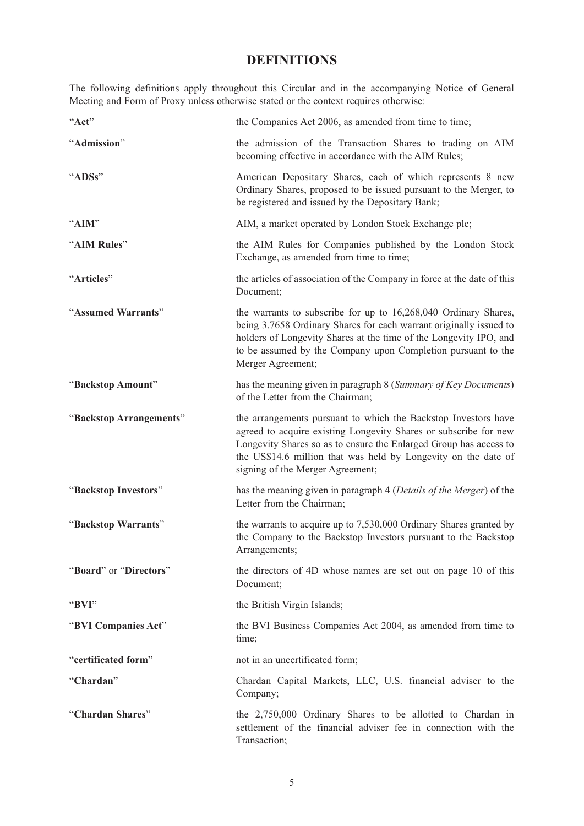# **DEFINITIONS**

The following definitions apply throughout this Circular and in the accompanying Notice of General Meeting and Form of Proxy unless otherwise stated or the context requires otherwise:

| "Act"                   | the Companies Act 2006, as amended from time to time;                                                                                                                                                                                                                                                         |  |  |  |
|-------------------------|---------------------------------------------------------------------------------------------------------------------------------------------------------------------------------------------------------------------------------------------------------------------------------------------------------------|--|--|--|
| "Admission"             | the admission of the Transaction Shares to trading on AIM<br>becoming effective in accordance with the AIM Rules;                                                                                                                                                                                             |  |  |  |
| "ADSs"                  | American Depositary Shares, each of which represents 8 new<br>Ordinary Shares, proposed to be issued pursuant to the Merger, to<br>be registered and issued by the Depositary Bank;                                                                                                                           |  |  |  |
| "AIM"                   | AIM, a market operated by London Stock Exchange plc;                                                                                                                                                                                                                                                          |  |  |  |
| "AIM Rules"             | the AIM Rules for Companies published by the London Stock<br>Exchange, as amended from time to time;                                                                                                                                                                                                          |  |  |  |
| "Articles"              | the articles of association of the Company in force at the date of this<br>Document;                                                                                                                                                                                                                          |  |  |  |
| "Assumed Warrants"      | the warrants to subscribe for up to 16,268,040 Ordinary Shares,<br>being 3.7658 Ordinary Shares for each warrant originally issued to<br>holders of Longevity Shares at the time of the Longevity IPO, and<br>to be assumed by the Company upon Completion pursuant to the<br>Merger Agreement;               |  |  |  |
| "Backstop Amount"       | has the meaning given in paragraph 8 (Summary of Key Documents)<br>of the Letter from the Chairman;                                                                                                                                                                                                           |  |  |  |
| "Backstop Arrangements" | the arrangements pursuant to which the Backstop Investors have<br>agreed to acquire existing Longevity Shares or subscribe for new<br>Longevity Shares so as to ensure the Enlarged Group has access to<br>the US\$14.6 million that was held by Longevity on the date of<br>signing of the Merger Agreement; |  |  |  |
| "Backstop Investors"    | has the meaning given in paragraph 4 (Details of the Merger) of the<br>Letter from the Chairman;                                                                                                                                                                                                              |  |  |  |
| "Backstop Warrants"     | the warrants to acquire up to 7,530,000 Ordinary Shares granted by<br>the Company to the Backstop Investors pursuant to the Backstop<br>Arrangements;                                                                                                                                                         |  |  |  |
| "Board" or "Directors"  | the directors of 4D whose names are set out on page 10 of this<br>Document;                                                                                                                                                                                                                                   |  |  |  |
| "BVI"                   | the British Virgin Islands;                                                                                                                                                                                                                                                                                   |  |  |  |
| "BVI Companies Act"     | the BVI Business Companies Act 2004, as amended from time to<br>time;                                                                                                                                                                                                                                         |  |  |  |
| "certificated form"     | not in an uncertificated form;                                                                                                                                                                                                                                                                                |  |  |  |
| "Chardan"               | Chardan Capital Markets, LLC, U.S. financial adviser to the<br>Company;                                                                                                                                                                                                                                       |  |  |  |
| "Chardan Shares"        | the 2,750,000 Ordinary Shares to be allotted to Chardan in<br>settlement of the financial adviser fee in connection with the<br>Transaction;                                                                                                                                                                  |  |  |  |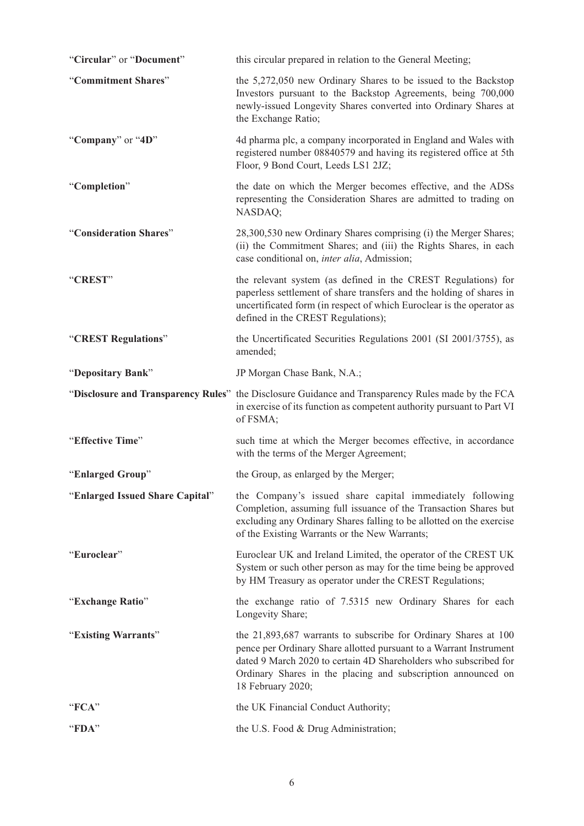| "Circular" or "Document"        | this circular prepared in relation to the General Meeting;                                                                                                                                                                                                                                     |
|---------------------------------|------------------------------------------------------------------------------------------------------------------------------------------------------------------------------------------------------------------------------------------------------------------------------------------------|
| "Commitment Shares"             | the 5,272,050 new Ordinary Shares to be issued to the Backstop<br>Investors pursuant to the Backstop Agreements, being 700,000<br>newly-issued Longevity Shares converted into Ordinary Shares at<br>the Exchange Ratio;                                                                       |
| "Company" or "4D"               | 4d pharma plc, a company incorporated in England and Wales with<br>registered number 08840579 and having its registered office at 5th<br>Floor, 9 Bond Court, Leeds LS1 2JZ;                                                                                                                   |
| "Completion"                    | the date on which the Merger becomes effective, and the ADSs<br>representing the Consideration Shares are admitted to trading on<br>NASDAQ;                                                                                                                                                    |
| "Consideration Shares"          | 28,300,530 new Ordinary Shares comprising (i) the Merger Shares;<br>(ii) the Commitment Shares; and (iii) the Rights Shares, in each<br>case conditional on, inter alia, Admission;                                                                                                            |
| "CREST"                         | the relevant system (as defined in the CREST Regulations) for<br>paperless settlement of share transfers and the holding of shares in<br>uncertificated form (in respect of which Euroclear is the operator as<br>defined in the CREST Regulations);                                           |
| "CREST Regulations"             | the Uncertificated Securities Regulations 2001 (SI 2001/3755), as<br>amended;                                                                                                                                                                                                                  |
| "Depositary Bank"               | JP Morgan Chase Bank, N.A.;                                                                                                                                                                                                                                                                    |
|                                 | "Disclosure and Transparency Rules" the Disclosure Guidance and Transparency Rules made by the FCA<br>in exercise of its function as competent authority pursuant to Part VI<br>of FSMA;                                                                                                       |
| "Effective Time"                | such time at which the Merger becomes effective, in accordance<br>with the terms of the Merger Agreement;                                                                                                                                                                                      |
| "Enlarged Group"                | the Group, as enlarged by the Merger;                                                                                                                                                                                                                                                          |
| "Enlarged Issued Share Capital" | the Company's issued share capital immediately following                                                                                                                                                                                                                                       |
|                                 | Completion, assuming full issuance of the Transaction Shares but<br>excluding any Ordinary Shares falling to be allotted on the exercise<br>of the Existing Warrants or the New Warrants;                                                                                                      |
| "Euroclear"                     | Euroclear UK and Ireland Limited, the operator of the CREST UK<br>System or such other person as may for the time being be approved<br>by HM Treasury as operator under the CREST Regulations;                                                                                                 |
| "Exchange Ratio"                | the exchange ratio of 7.5315 new Ordinary Shares for each<br>Longevity Share;                                                                                                                                                                                                                  |
| "Existing Warrants"             | the 21,893,687 warrants to subscribe for Ordinary Shares at 100<br>pence per Ordinary Share allotted pursuant to a Warrant Instrument<br>dated 9 March 2020 to certain 4D Shareholders who subscribed for<br>Ordinary Shares in the placing and subscription announced on<br>18 February 2020; |
| "FCA"                           | the UK Financial Conduct Authority;                                                                                                                                                                                                                                                            |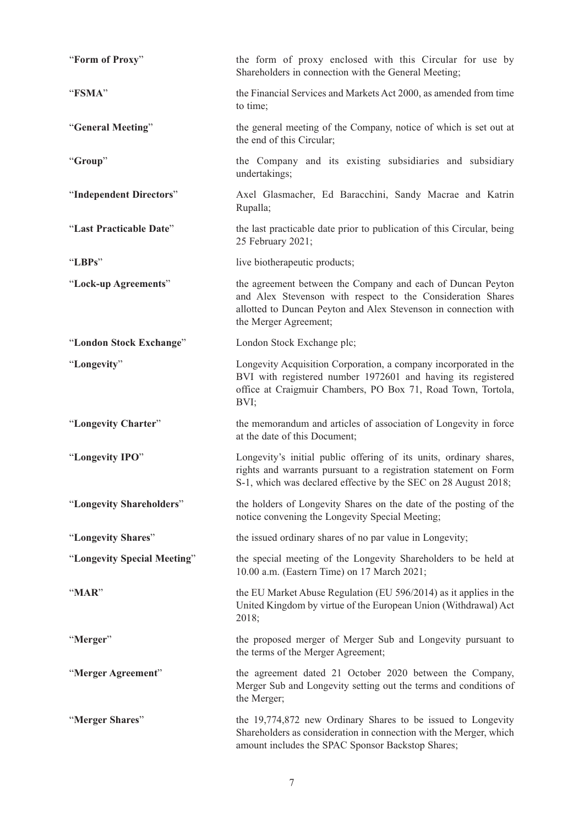| "Form of Proxy"             | the form of proxy enclosed with this Circular for use by<br>Shareholders in connection with the General Meeting;                                                                                                       |
|-----------------------------|------------------------------------------------------------------------------------------------------------------------------------------------------------------------------------------------------------------------|
| "FSMA"                      | the Financial Services and Markets Act 2000, as amended from time<br>to time;                                                                                                                                          |
| "General Meeting"           | the general meeting of the Company, notice of which is set out at<br>the end of this Circular;                                                                                                                         |
| "Group"                     | the Company and its existing subsidiaries and subsidiary<br>undertakings;                                                                                                                                              |
| "Independent Directors"     | Axel Glasmacher, Ed Baracchini, Sandy Macrae and Katrin<br>Rupalla;                                                                                                                                                    |
| "Last Practicable Date"     | the last practicable date prior to publication of this Circular, being<br>25 February 2021;                                                                                                                            |
| "LBPs"                      | live biotherapeutic products;                                                                                                                                                                                          |
| "Lock-up Agreements"        | the agreement between the Company and each of Duncan Peyton<br>and Alex Stevenson with respect to the Consideration Shares<br>allotted to Duncan Peyton and Alex Stevenson in connection with<br>the Merger Agreement; |
| "London Stock Exchange"     | London Stock Exchange plc;                                                                                                                                                                                             |
| "Longevity"                 | Longevity Acquisition Corporation, a company incorporated in the<br>BVI with registered number 1972601 and having its registered<br>office at Craigmuir Chambers, PO Box 71, Road Town, Tortola,<br>BVI;               |
| "Longevity Charter"         | the memorandum and articles of association of Longevity in force<br>at the date of this Document;                                                                                                                      |
| "Longevity IPO"             | Longevity's initial public offering of its units, ordinary shares,<br>rights and warrants pursuant to a registration statement on Form<br>S-1, which was declared effective by the SEC on 28 August 2018;              |
| "Longevity Shareholders"    | the holders of Longevity Shares on the date of the posting of the<br>notice convening the Longevity Special Meeting;                                                                                                   |
| "Longevity Shares"          | the issued ordinary shares of no par value in Longevity;                                                                                                                                                               |
| "Longevity Special Meeting" | the special meeting of the Longevity Shareholders to be held at<br>10.00 a.m. (Eastern Time) on 17 March 2021;                                                                                                         |
| " $\n  MAR$ "               | the EU Market Abuse Regulation (EU 596/2014) as it applies in the<br>United Kingdom by virtue of the European Union (Withdrawal) Act<br>2018;                                                                          |
| "Merger"                    | the proposed merger of Merger Sub and Longevity pursuant to<br>the terms of the Merger Agreement;                                                                                                                      |
| "Merger Agreement"          | the agreement dated 21 October 2020 between the Company,<br>Merger Sub and Longevity setting out the terms and conditions of<br>the Merger;                                                                            |
| "Merger Shares"             | the 19,774,872 new Ordinary Shares to be issued to Longevity<br>Shareholders as consideration in connection with the Merger, which<br>amount includes the SPAC Sponsor Backstop Shares;                                |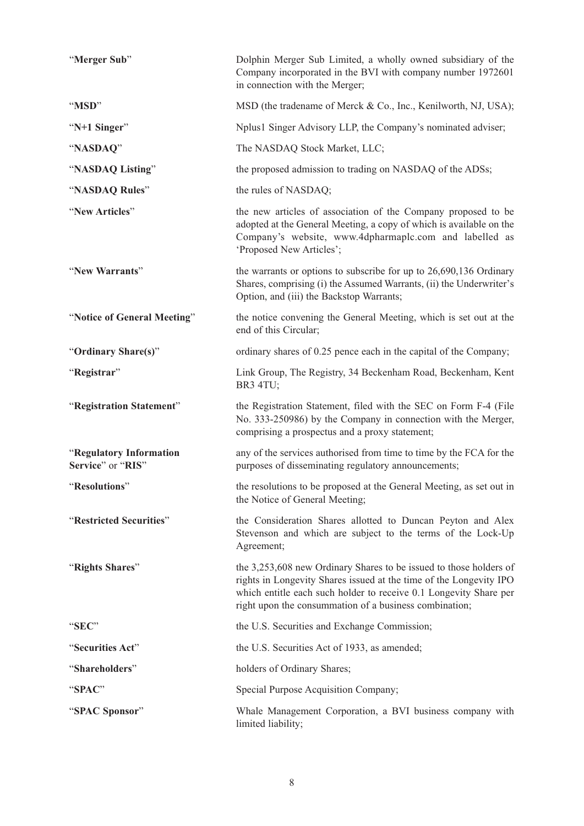| "Merger Sub"                                 | Dolphin Merger Sub Limited, a wholly owned subsidiary of the<br>Company incorporated in the BVI with company number 1972601<br>in connection with the Merger;                                                                                                           |
|----------------------------------------------|-------------------------------------------------------------------------------------------------------------------------------------------------------------------------------------------------------------------------------------------------------------------------|
| "MSD"                                        | MSD (the tradename of Merck & Co., Inc., Kenilworth, NJ, USA);                                                                                                                                                                                                          |
| "N+1 Singer"                                 | Nplus1 Singer Advisory LLP, the Company's nominated adviser;                                                                                                                                                                                                            |
| "NASDAQ"                                     | The NASDAQ Stock Market, LLC;                                                                                                                                                                                                                                           |
| "NASDAQ Listing"                             | the proposed admission to trading on NASDAQ of the ADSs;                                                                                                                                                                                                                |
| "NASDAQ Rules"                               | the rules of NASDAQ;                                                                                                                                                                                                                                                    |
| "New Articles"                               | the new articles of association of the Company proposed to be<br>adopted at the General Meeting, a copy of which is available on the<br>Company's website, www.4dpharmaplc.com and labelled as<br>'Proposed New Articles';                                              |
| "New Warrants"                               | the warrants or options to subscribe for up to $26,690,136$ Ordinary<br>Shares, comprising (i) the Assumed Warrants, (ii) the Underwriter's<br>Option, and (iii) the Backstop Warrants;                                                                                 |
| "Notice of General Meeting"                  | the notice convening the General Meeting, which is set out at the<br>end of this Circular;                                                                                                                                                                              |
| "Ordinary Share(s)"                          | ordinary shares of 0.25 pence each in the capital of the Company;                                                                                                                                                                                                       |
| "Registrar"                                  | Link Group, The Registry, 34 Beckenham Road, Beckenham, Kent<br>BR3 4TU;                                                                                                                                                                                                |
| "Registration Statement"                     | the Registration Statement, filed with the SEC on Form F-4 (File<br>No. 333-250986) by the Company in connection with the Merger,<br>comprising a prospectus and a proxy statement;                                                                                     |
| "Regulatory Information<br>Service" or "RIS" | any of the services authorised from time to time by the FCA for the<br>purposes of disseminating regulatory announcements;                                                                                                                                              |
| "Resolutions"                                | the resolutions to be proposed at the General Meeting, as set out in<br>the Notice of General Meeting;                                                                                                                                                                  |
| "Restricted Securities"                      | the Consideration Shares allotted to Duncan Peyton and Alex<br>Stevenson and which are subject to the terms of the Lock-Up<br>Agreement;                                                                                                                                |
| "Rights Shares"                              | the 3,253,608 new Ordinary Shares to be issued to those holders of<br>rights in Longevity Shares issued at the time of the Longevity IPO<br>which entitle each such holder to receive 0.1 Longevity Share per<br>right upon the consummation of a business combination; |
| "SEC"                                        | the U.S. Securities and Exchange Commission;                                                                                                                                                                                                                            |
| "Securities Act"                             | the U.S. Securities Act of 1933, as amended;                                                                                                                                                                                                                            |
| "Shareholders"                               | holders of Ordinary Shares;                                                                                                                                                                                                                                             |
| "SPAC"                                       | Special Purpose Acquisition Company;                                                                                                                                                                                                                                    |
| "SPAC Sponsor"                               | Whale Management Corporation, a BVI business company with<br>limited liability;                                                                                                                                                                                         |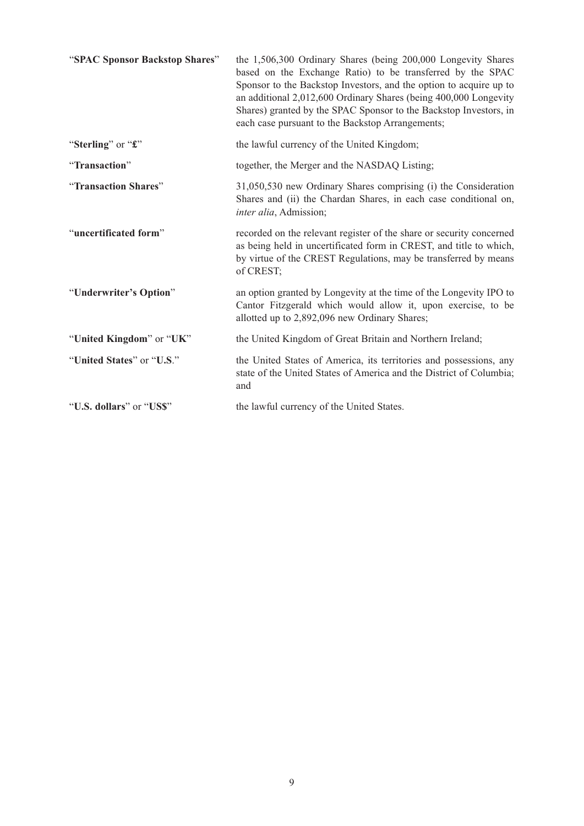| "SPAC Sponsor Backstop Shares" | the 1,506,300 Ordinary Shares (being 200,000 Longevity Shares<br>based on the Exchange Ratio) to be transferred by the SPAC<br>Sponsor to the Backstop Investors, and the option to acquire up to<br>an additional 2,012,600 Ordinary Shares (being 400,000 Longevity<br>Shares) granted by the SPAC Sponsor to the Backstop Investors, in<br>each case pursuant to the Backstop Arrangements; |
|--------------------------------|------------------------------------------------------------------------------------------------------------------------------------------------------------------------------------------------------------------------------------------------------------------------------------------------------------------------------------------------------------------------------------------------|
| "Sterling" or "£"              | the lawful currency of the United Kingdom;                                                                                                                                                                                                                                                                                                                                                     |
| "Transaction"                  | together, the Merger and the NASDAQ Listing;                                                                                                                                                                                                                                                                                                                                                   |
| "Transaction Shares"           | 31,050,530 new Ordinary Shares comprising (i) the Consideration<br>Shares and (ii) the Chardan Shares, in each case conditional on,<br>inter alia, Admission;                                                                                                                                                                                                                                  |
| "uncertificated form"          | recorded on the relevant register of the share or security concerned<br>as being held in uncertificated form in CREST, and title to which,<br>by virtue of the CREST Regulations, may be transferred by means<br>of CREST;                                                                                                                                                                     |
| "Underwriter's Option"         | an option granted by Longevity at the time of the Longevity IPO to<br>Cantor Fitzgerald which would allow it, upon exercise, to be<br>allotted up to 2,892,096 new Ordinary Shares;                                                                                                                                                                                                            |
| "United Kingdom" or "UK"       | the United Kingdom of Great Britain and Northern Ireland;                                                                                                                                                                                                                                                                                                                                      |
| "United States" or "U.S."      | the United States of America, its territories and possessions, any<br>state of the United States of America and the District of Columbia;<br>and                                                                                                                                                                                                                                               |
| "U.S. dollars" or "US\$"       | the lawful currency of the United States.                                                                                                                                                                                                                                                                                                                                                      |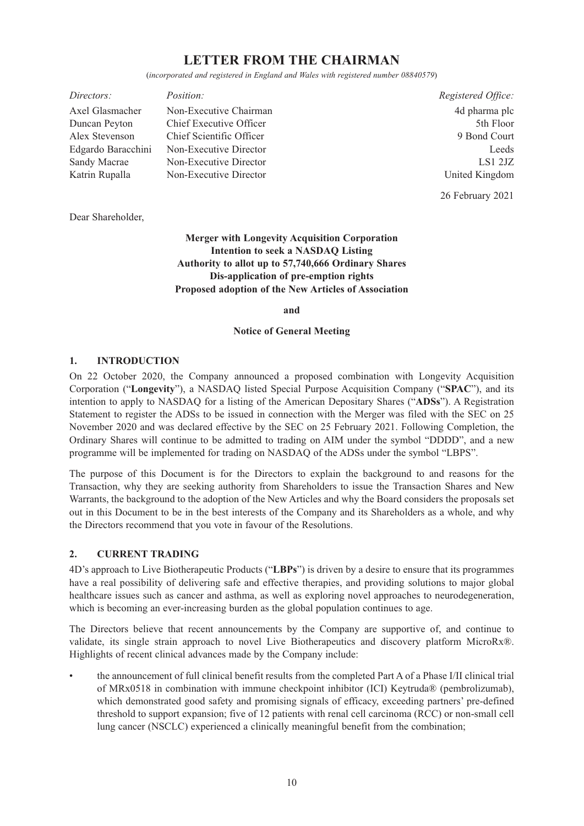# **LETTER FROM THE CHAIRMAN**

(*incorporated and registered in England and Wales with registered number 08840579*)

| Directors:         | <i>Position:</i>         | Registered Office. |
|--------------------|--------------------------|--------------------|
| Axel Glasmacher    | Non-Executive Chairman   | 4d pharma plc      |
| Duncan Peyton      | Chief Executive Officer  | 5th Floor          |
| Alex Stevenson     | Chief Scientific Officer | 9 Bond Court       |
| Edgardo Baracchini | Non-Executive Director   | Leeds              |
| Sandy Macrae       | Non-Executive Director   | LS1 2JZ            |
| Katrin Rupalla     | Non-Executive Director   | United Kingdom     |

26 February 2021

Dear Shareholder,

**Merger with Longevity Acquisition Corporation Intention to seek a NASDAQ Listing Authority to allot up to 57,740,666 Ordinary Shares Dis-application of pre-emption rights Proposed adoption of the New Articles of Association**

**and**

**Notice of General Meeting**

#### **1. INTRODUCTION**

On 22 October 2020, the Company announced a proposed combination with Longevity Acquisition Corporation ("**Longevity**"), a NASDAQ listed Special Purpose Acquisition Company ("**SPAC**"), and its intention to apply to NASDAQ for a listing of the American Depositary Shares ("**ADSs**"). A Registration Statement to register the ADSs to be issued in connection with the Merger was filed with the SEC on 25 November 2020 and was declared effective by the SEC on 25 February 2021. Following Completion, the Ordinary Shares will continue to be admitted to trading on AIM under the symbol "DDDD", and a new programme will be implemented for trading on NASDAQ of the ADSs under the symbol "LBPS".

The purpose of this Document is for the Directors to explain the background to and reasons for the Transaction, why they are seeking authority from Shareholders to issue the Transaction Shares and New Warrants, the background to the adoption of the New Articles and why the Board considers the proposals set out in this Document to be in the best interests of the Company and its Shareholders as a whole, and why the Directors recommend that you vote in favour of the Resolutions.

#### **2. CURRENT TRADING**

4D's approach to Live Biotherapeutic Products ("**LBPs**") is driven by a desire to ensure that its programmes have a real possibility of delivering safe and effective therapies, and providing solutions to major global healthcare issues such as cancer and asthma, as well as exploring novel approaches to neurodegeneration, which is becoming an ever-increasing burden as the global population continues to age.

The Directors believe that recent announcements by the Company are supportive of, and continue to validate, its single strain approach to novel Live Biotherapeutics and discovery platform MicroRx®. Highlights of recent clinical advances made by the Company include:

• the announcement of full clinical benefit results from the completed Part A of a Phase I/II clinical trial of MRx0518 in combination with immune checkpoint inhibitor (ICI) Keytruda® (pembrolizumab), which demonstrated good safety and promising signals of efficacy, exceeding partners' pre-defined threshold to support expansion; five of 12 patients with renal cell carcinoma (RCC) or non-small cell lung cancer (NSCLC) experienced a clinically meaningful benefit from the combination;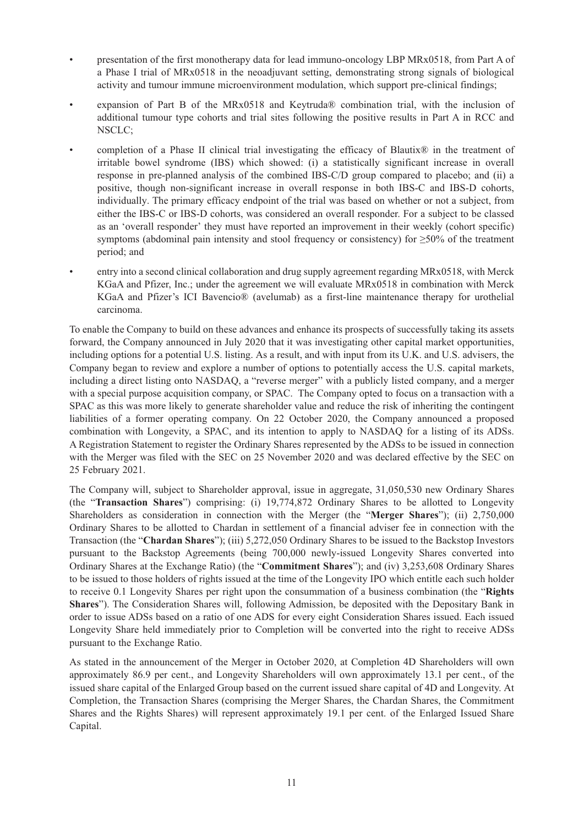- presentation of the first monotherapy data for lead immuno-oncology LBP MRx0518, from Part A of a Phase I trial of MRx0518 in the neoadjuvant setting, demonstrating strong signals of biological activity and tumour immune microenvironment modulation, which support pre-clinical findings;
- expansion of Part B of the MRx0518 and Keytruda® combination trial, with the inclusion of additional tumour type cohorts and trial sites following the positive results in Part A in RCC and NSCLC;
- completion of a Phase II clinical trial investigating the efficacy of Blautix<sup>®</sup> in the treatment of irritable bowel syndrome (IBS) which showed: (i) a statistically significant increase in overall response in pre-planned analysis of the combined IBS-C/D group compared to placebo; and (ii) a positive, though non-significant increase in overall response in both IBS-C and IBS-D cohorts, individually. The primary efficacy endpoint of the trial was based on whether or not a subject, from either the IBS-C or IBS-D cohorts, was considered an overall responder. For a subject to be classed as an 'overall responder' they must have reported an improvement in their weekly (cohort specific) symptoms (abdominal pain intensity and stool frequency or consistency) for  $\geq 50\%$  of the treatment period; and
- entry into a second clinical collaboration and drug supply agreement regarding MRx0518, with Merck KGaA and Pfizer, Inc.; under the agreement we will evaluate MRx0518 in combination with Merck KGaA and Pfizer's ICI Bavencio® (avelumab) as a first-line maintenance therapy for urothelial carcinoma.

To enable the Company to build on these advances and enhance its prospects of successfully taking its assets forward, the Company announced in July 2020 that it was investigating other capital market opportunities, including options for a potential U.S. listing. As a result, and with input from its U.K. and U.S. advisers, the Company began to review and explore a number of options to potentially access the U.S. capital markets, including a direct listing onto NASDAQ, a "reverse merger" with a publicly listed company, and a merger with a special purpose acquisition company, or SPAC. The Company opted to focus on a transaction with a SPAC as this was more likely to generate shareholder value and reduce the risk of inheriting the contingent liabilities of a former operating company. On 22 October 2020, the Company announced a proposed combination with Longevity, a SPAC, and its intention to apply to NASDAQ for a listing of its ADSs. A Registration Statement to register the Ordinary Shares represented by the ADSs to be issued in connection with the Merger was filed with the SEC on 25 November 2020 and was declared effective by the SEC on 25 February 2021.

The Company will, subject to Shareholder approval, issue in aggregate, 31,050,530 new Ordinary Shares (the "**Transaction Shares**") comprising: (i) 19,774,872 Ordinary Shares to be allotted to Longevity Shareholders as consideration in connection with the Merger (the "**Merger Shares**"); (ii) 2,750,000 Ordinary Shares to be allotted to Chardan in settlement of a financial adviser fee in connection with the Transaction (the "**Chardan Shares**"); (iii) 5,272,050 Ordinary Shares to be issued to the Backstop Investors pursuant to the Backstop Agreements (being 700,000 newly-issued Longevity Shares converted into Ordinary Shares at the Exchange Ratio) (the "**Commitment Shares**"); and (iv) 3,253,608 Ordinary Shares to be issued to those holders of rights issued at the time of the Longevity IPO which entitle each such holder to receive 0.1 Longevity Shares per right upon the consummation of a business combination (the "**Rights Shares**"). The Consideration Shares will, following Admission, be deposited with the Depositary Bank in order to issue ADSs based on a ratio of one ADS for every eight Consideration Shares issued. Each issued Longevity Share held immediately prior to Completion will be converted into the right to receive ADSs pursuant to the Exchange Ratio.

As stated in the announcement of the Merger in October 2020, at Completion 4D Shareholders will own approximately 86.9 per cent., and Longevity Shareholders will own approximately 13.1 per cent., of the issued share capital of the Enlarged Group based on the current issued share capital of 4D and Longevity. At Completion, the Transaction Shares (comprising the Merger Shares, the Chardan Shares, the Commitment Shares and the Rights Shares) will represent approximately 19.1 per cent. of the Enlarged Issued Share Capital.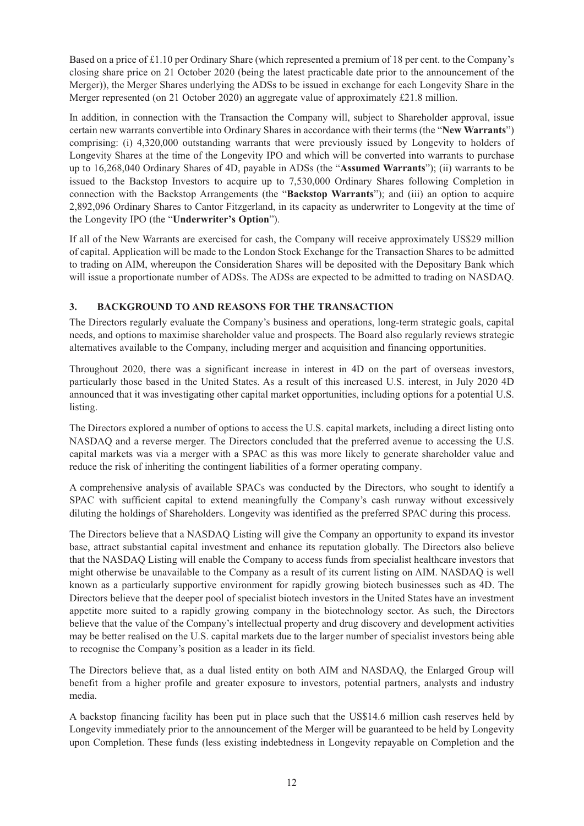Based on a price of £1.10 per Ordinary Share (which represented a premium of 18 per cent. to the Company's closing share price on 21 October 2020 (being the latest practicable date prior to the announcement of the Merger)), the Merger Shares underlying the ADSs to be issued in exchange for each Longevity Share in the Merger represented (on 21 October 2020) an aggregate value of approximately £21.8 million.

In addition, in connection with the Transaction the Company will, subject to Shareholder approval, issue certain new warrants convertible into Ordinary Shares in accordance with their terms (the "**New Warrants**") comprising: (i) 4,320,000 outstanding warrants that were previously issued by Longevity to holders of Longevity Shares at the time of the Longevity IPO and which will be converted into warrants to purchase up to 16,268,040 Ordinary Shares of 4D, payable in ADSs (the "**Assumed Warrants**"); (ii) warrants to be issued to the Backstop Investors to acquire up to 7,530,000 Ordinary Shares following Completion in connection with the Backstop Arrangements (the "**Backstop Warrants**"); and (iii) an option to acquire 2,892,096 Ordinary Shares to Cantor Fitzgerland, in its capacity as underwriter to Longevity at the time of the Longevity IPO (the "**Underwriter's Option**").

If all of the New Warrants are exercised for cash, the Company will receive approximately US\$29 million of capital. Application will be made to the London Stock Exchange for the Transaction Shares to be admitted to trading on AIM, whereupon the Consideration Shares will be deposited with the Depositary Bank which will issue a proportionate number of ADSs. The ADSs are expected to be admitted to trading on NASDAQ.

# **3. BACKGROUND TO AND REASONS FOR THE TRANSACTION**

The Directors regularly evaluate the Company's business and operations, long-term strategic goals, capital needs, and options to maximise shareholder value and prospects. The Board also regularly reviews strategic alternatives available to the Company, including merger and acquisition and financing opportunities.

Throughout 2020, there was a significant increase in interest in 4D on the part of overseas investors, particularly those based in the United States. As a result of this increased U.S. interest, in July 2020 4D announced that it was investigating other capital market opportunities, including options for a potential U.S. listing.

The Directors explored a number of options to access the U.S. capital markets, including a direct listing onto NASDAQ and a reverse merger. The Directors concluded that the preferred avenue to accessing the U.S. capital markets was via a merger with a SPAC as this was more likely to generate shareholder value and reduce the risk of inheriting the contingent liabilities of a former operating company.

A comprehensive analysis of available SPACs was conducted by the Directors, who sought to identify a SPAC with sufficient capital to extend meaningfully the Company's cash runway without excessively diluting the holdings of Shareholders. Longevity was identified as the preferred SPAC during this process.

The Directors believe that a NASDAQ Listing will give the Company an opportunity to expand its investor base, attract substantial capital investment and enhance its reputation globally. The Directors also believe that the NASDAQ Listing will enable the Company to access funds from specialist healthcare investors that might otherwise be unavailable to the Company as a result of its current listing on AIM. NASDAQ is well known as a particularly supportive environment for rapidly growing biotech businesses such as 4D. The Directors believe that the deeper pool of specialist biotech investors in the United States have an investment appetite more suited to a rapidly growing company in the biotechnology sector. As such, the Directors believe that the value of the Company's intellectual property and drug discovery and development activities may be better realised on the U.S. capital markets due to the larger number of specialist investors being able to recognise the Company's position as a leader in its field.

The Directors believe that, as a dual listed entity on both AIM and NASDAQ, the Enlarged Group will benefit from a higher profile and greater exposure to investors, potential partners, analysts and industry media.

A backstop financing facility has been put in place such that the US\$14.6 million cash reserves held by Longevity immediately prior to the announcement of the Merger will be guaranteed to be held by Longevity upon Completion. These funds (less existing indebtedness in Longevity repayable on Completion and the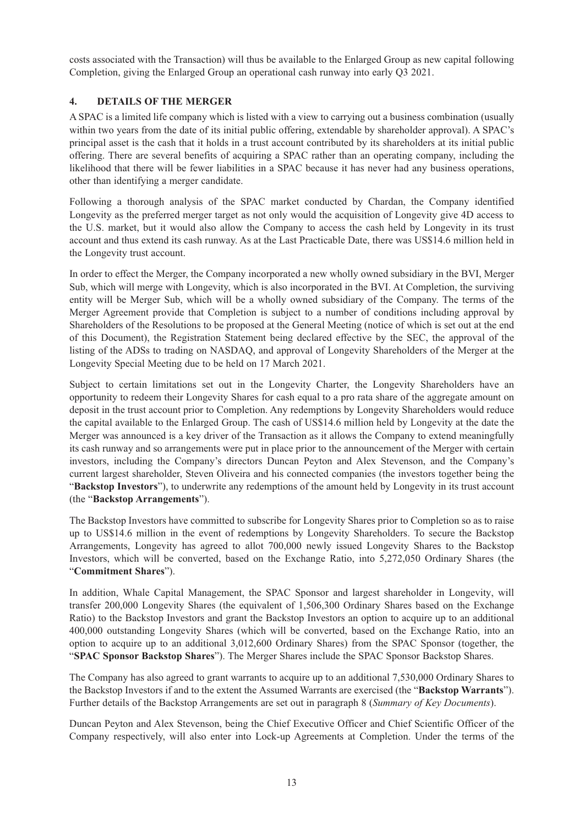costs associated with the Transaction) will thus be available to the Enlarged Group as new capital following Completion, giving the Enlarged Group an operational cash runway into early Q3 2021.

# **4. DETAILS OF THE MERGER**

A SPAC is a limited life company which is listed with a view to carrying out a business combination (usually within two years from the date of its initial public offering, extendable by shareholder approval). A SPAC's principal asset is the cash that it holds in a trust account contributed by its shareholders at its initial public offering. There are several benefits of acquiring a SPAC rather than an operating company, including the likelihood that there will be fewer liabilities in a SPAC because it has never had any business operations, other than identifying a merger candidate.

Following a thorough analysis of the SPAC market conducted by Chardan, the Company identified Longevity as the preferred merger target as not only would the acquisition of Longevity give 4D access to the U.S. market, but it would also allow the Company to access the cash held by Longevity in its trust account and thus extend its cash runway. As at the Last Practicable Date, there was US\$14.6 million held in the Longevity trust account.

In order to effect the Merger, the Company incorporated a new wholly owned subsidiary in the BVI, Merger Sub, which will merge with Longevity, which is also incorporated in the BVI. At Completion, the surviving entity will be Merger Sub, which will be a wholly owned subsidiary of the Company. The terms of the Merger Agreement provide that Completion is subject to a number of conditions including approval by Shareholders of the Resolutions to be proposed at the General Meeting (notice of which is set out at the end of this Document), the Registration Statement being declared effective by the SEC, the approval of the listing of the ADSs to trading on NASDAQ, and approval of Longevity Shareholders of the Merger at the Longevity Special Meeting due to be held on 17 March 2021.

Subject to certain limitations set out in the Longevity Charter, the Longevity Shareholders have an opportunity to redeem their Longevity Shares for cash equal to a pro rata share of the aggregate amount on deposit in the trust account prior to Completion. Any redemptions by Longevity Shareholders would reduce the capital available to the Enlarged Group. The cash of US\$14.6 million held by Longevity at the date the Merger was announced is a key driver of the Transaction as it allows the Company to extend meaningfully its cash runway and so arrangements were put in place prior to the announcement of the Merger with certain investors, including the Company's directors Duncan Peyton and Alex Stevenson, and the Company's current largest shareholder, Steven Oliveira and his connected companies (the investors together being the "**Backstop Investors**"), to underwrite any redemptions of the amount held by Longevity in its trust account (the "**Backstop Arrangements**").

The Backstop Investors have committed to subscribe for Longevity Shares prior to Completion so as to raise up to US\$14.6 million in the event of redemptions by Longevity Shareholders. To secure the Backstop Arrangements, Longevity has agreed to allot 700,000 newly issued Longevity Shares to the Backstop Investors, which will be converted, based on the Exchange Ratio, into 5,272,050 Ordinary Shares (the "**Commitment Shares**").

In addition, Whale Capital Management, the SPAC Sponsor and largest shareholder in Longevity, will transfer 200,000 Longevity Shares (the equivalent of 1,506,300 Ordinary Shares based on the Exchange Ratio) to the Backstop Investors and grant the Backstop Investors an option to acquire up to an additional 400,000 outstanding Longevity Shares (which will be converted, based on the Exchange Ratio, into an option to acquire up to an additional 3,012,600 Ordinary Shares) from the SPAC Sponsor (together, the "**SPAC Sponsor Backstop Shares**"). The Merger Shares include the SPAC Sponsor Backstop Shares.

The Company has also agreed to grant warrants to acquire up to an additional 7,530,000 Ordinary Shares to the Backstop Investors if and to the extent the Assumed Warrants are exercised (the "**Backstop Warrants**"). Further details of the Backstop Arrangements are set out in paragraph 8 (*Summary of Key Documents*).

Duncan Peyton and Alex Stevenson, being the Chief Executive Officer and Chief Scientific Officer of the Company respectively, will also enter into Lock-up Agreements at Completion. Under the terms of the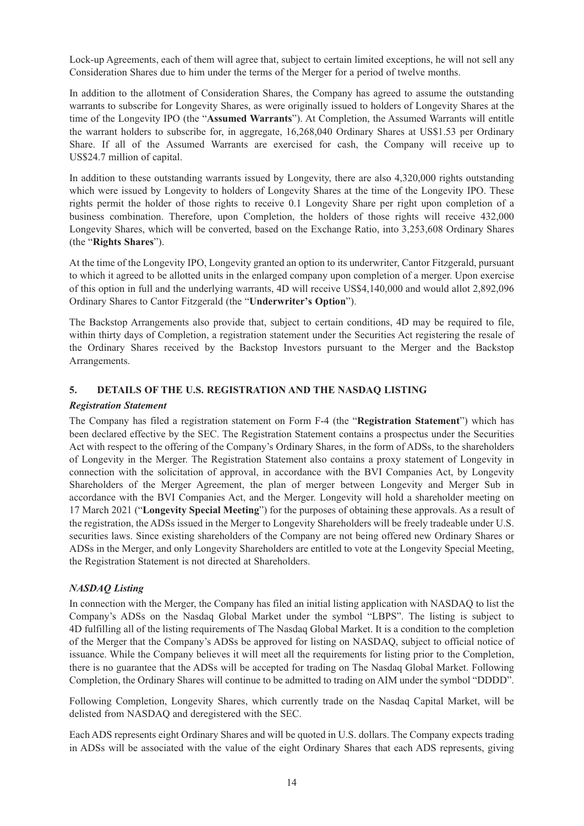Lock-up Agreements, each of them will agree that, subject to certain limited exceptions, he will not sell any Consideration Shares due to him under the terms of the Merger for a period of twelve months.

In addition to the allotment of Consideration Shares, the Company has agreed to assume the outstanding warrants to subscribe for Longevity Shares, as were originally issued to holders of Longevity Shares at the time of the Longevity IPO (the "**Assumed Warrants**"). At Completion, the Assumed Warrants will entitle the warrant holders to subscribe for, in aggregate, 16,268,040 Ordinary Shares at US\$1.53 per Ordinary Share. If all of the Assumed Warrants are exercised for cash, the Company will receive up to US\$24.7 million of capital.

In addition to these outstanding warrants issued by Longevity, there are also 4,320,000 rights outstanding which were issued by Longevity to holders of Longevity Shares at the time of the Longevity IPO. These rights permit the holder of those rights to receive 0.1 Longevity Share per right upon completion of a business combination. Therefore, upon Completion, the holders of those rights will receive 432,000 Longevity Shares, which will be converted, based on the Exchange Ratio, into 3,253,608 Ordinary Shares (the "**Rights Shares**").

At the time of the Longevity IPO, Longevity granted an option to its underwriter, Cantor Fitzgerald, pursuant to which it agreed to be allotted units in the enlarged company upon completion of a merger. Upon exercise of this option in full and the underlying warrants, 4D will receive US\$4,140,000 and would allot 2,892,096 Ordinary Shares to Cantor Fitzgerald (the "**Underwriter's Option**").

The Backstop Arrangements also provide that, subject to certain conditions, 4D may be required to file, within thirty days of Completion, a registration statement under the Securities Act registering the resale of the Ordinary Shares received by the Backstop Investors pursuant to the Merger and the Backstop Arrangements.

# **5. DETAILS OF THE U.S. REGISTRATION AND THE NASDAQ LISTING**

### *Registration Statement*

The Company has filed a registration statement on Form F-4 (the "**Registration Statement**") which has been declared effective by the SEC. The Registration Statement contains a prospectus under the Securities Act with respect to the offering of the Company's Ordinary Shares, in the form of ADSs, to the shareholders of Longevity in the Merger. The Registration Statement also contains a proxy statement of Longevity in connection with the solicitation of approval, in accordance with the BVI Companies Act, by Longevity Shareholders of the Merger Agreement, the plan of merger between Longevity and Merger Sub in accordance with the BVI Companies Act, and the Merger. Longevity will hold a shareholder meeting on 17 March 2021 ("**Longevity Special Meeting**") for the purposes of obtaining these approvals. As a result of the registration, the ADSs issued in the Merger to Longevity Shareholders will be freely tradeable under U.S. securities laws. Since existing shareholders of the Company are not being offered new Ordinary Shares or ADSs in the Merger, and only Longevity Shareholders are entitled to vote at the Longevity Special Meeting, the Registration Statement is not directed at Shareholders.

### *NASDAQ Listing*

In connection with the Merger, the Company has filed an initial listing application with NASDAQ to list the Company's ADSs on the Nasdaq Global Market under the symbol "LBPS". The listing is subject to 4D fulfilling all of the listing requirements of The Nasdaq Global Market. It is a condition to the completion of the Merger that the Company's ADSs be approved for listing on NASDAQ, subject to official notice of issuance. While the Company believes it will meet all the requirements for listing prior to the Completion, there is no guarantee that the ADSs will be accepted for trading on The Nasdaq Global Market. Following Completion, the Ordinary Shares will continue to be admitted to trading on AIM under the symbol "DDDD".

Following Completion, Longevity Shares, which currently trade on the Nasdaq Capital Market, will be delisted from NASDAQ and deregistered with the SEC.

Each ADS represents eight Ordinary Shares and will be quoted in U.S. dollars. The Company expects trading in ADSs will be associated with the value of the eight Ordinary Shares that each ADS represents, giving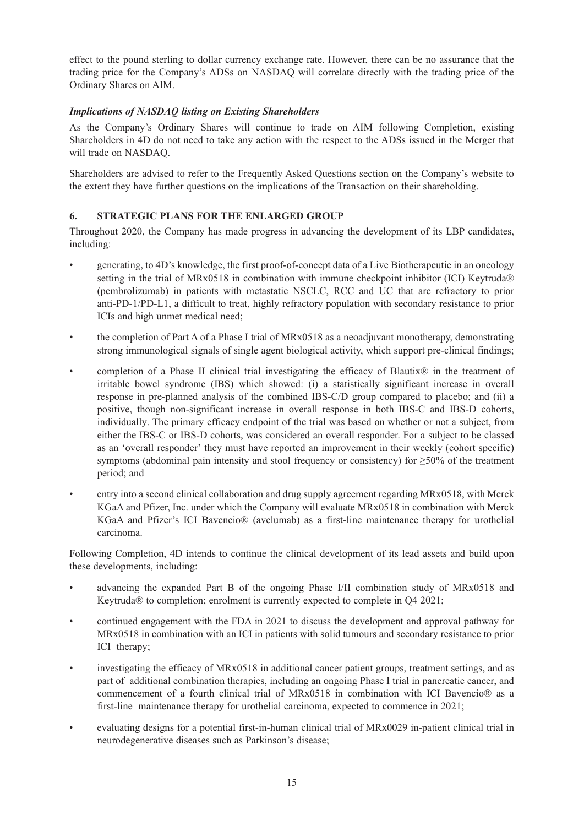effect to the pound sterling to dollar currency exchange rate. However, there can be no assurance that the trading price for the Company's ADSs on NASDAQ will correlate directly with the trading price of the Ordinary Shares on AIM.

# *Implications of NASDAQ listing on Existing Shareholders*

As the Company's Ordinary Shares will continue to trade on AIM following Completion, existing Shareholders in 4D do not need to take any action with the respect to the ADSs issued in the Merger that will trade on NASDAQ.

Shareholders are advised to refer to the Frequently Asked Questions section on the Company's website to the extent they have further questions on the implications of the Transaction on their shareholding.

# **6. STRATEGIC PLANS FOR THE ENLARGED GROUP**

Throughout 2020, the Company has made progress in advancing the development of its LBP candidates, including:

- generating, to 4D's knowledge, the first proof-of-concept data of a Live Biotherapeutic in an oncology setting in the trial of MRx0518 in combination with immune checkpoint inhibitor (ICI) Keytruda® (pembrolizumab) in patients with metastatic NSCLC, RCC and UC that are refractory to prior anti-PD-1/PD-L1, a difficult to treat, highly refractory population with secondary resistance to prior ICIs and high unmet medical need;
- the completion of Part A of a Phase I trial of MRx0518 as a neoadjuvant monotherapy, demonstrating strong immunological signals of single agent biological activity, which support pre-clinical findings;
- completion of a Phase II clinical trial investigating the efficacy of Blautix<sup>®</sup> in the treatment of irritable bowel syndrome (IBS) which showed: (i) a statistically significant increase in overall response in pre-planned analysis of the combined IBS-C/D group compared to placebo; and (ii) a positive, though non-significant increase in overall response in both IBS-C and IBS-D cohorts, individually. The primary efficacy endpoint of the trial was based on whether or not a subject, from either the IBS-C or IBS-D cohorts, was considered an overall responder. For a subject to be classed as an 'overall responder' they must have reported an improvement in their weekly (cohort specific) symptoms (abdominal pain intensity and stool frequency or consistency) for  $\geq 50\%$  of the treatment period; and
- entry into a second clinical collaboration and drug supply agreement regarding MRx0518, with Merck KGaA and Pfizer, Inc. under which the Company will evaluate MRx0518 in combination with Merck KGaA and Pfizer's ICI Bavencio® (avelumab) as a first-line maintenance therapy for urothelial carcinoma.

Following Completion, 4D intends to continue the clinical development of its lead assets and build upon these developments, including:

- advancing the expanded Part B of the ongoing Phase I/II combination study of MRx0518 and Keytruda® to completion; enrolment is currently expected to complete in Q4 2021;
- continued engagement with the FDA in 2021 to discuss the development and approval pathway for MRx0518 in combination with an ICI in patients with solid tumours and secondary resistance to prior ICI therapy;
- investigating the efficacy of MRx0518 in additional cancer patient groups, treatment settings, and as part of additional combination therapies, including an ongoing Phase I trial in pancreatic cancer, and commencement of a fourth clinical trial of MRx0518 in combination with ICI Bavencio® as a first-line maintenance therapy for urothelial carcinoma, expected to commence in 2021;
- evaluating designs for a potential first-in-human clinical trial of MRx0029 in-patient clinical trial in neurodegenerative diseases such as Parkinson's disease;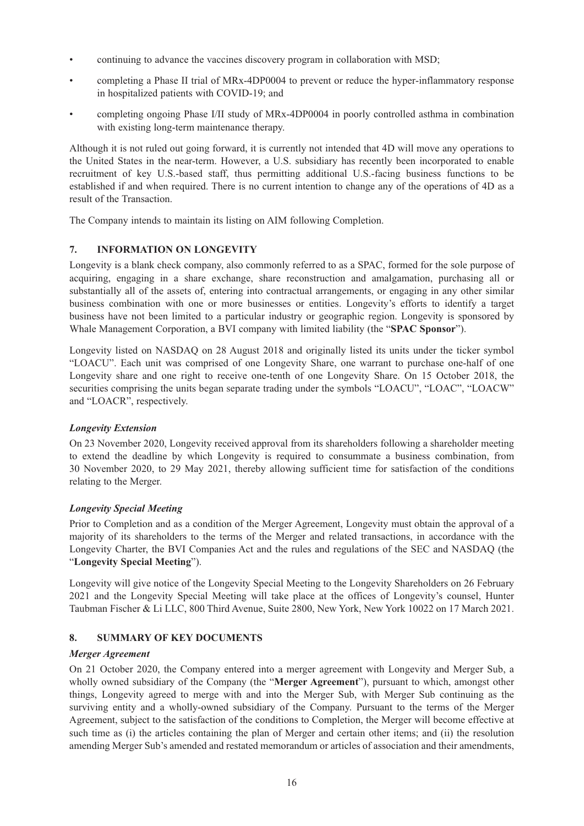- continuing to advance the vaccines discovery program in collaboration with MSD;
- completing a Phase II trial of MRx-4DP0004 to prevent or reduce the hyper-inflammatory response in hospitalized patients with COVID-19; and
- completing ongoing Phase I/II study of MRx-4DP0004 in poorly controlled asthma in combination with existing long-term maintenance therapy.

Although it is not ruled out going forward, it is currently not intended that 4D will move any operations to the United States in the near-term. However, a U.S. subsidiary has recently been incorporated to enable recruitment of key U.S.-based staff, thus permitting additional U.S.-facing business functions to be established if and when required. There is no current intention to change any of the operations of 4D as a result of the Transaction.

The Company intends to maintain its listing on AIM following Completion.

# **7. INFORMATION ON LONGEVITY**

Longevity is a blank check company, also commonly referred to as a SPAC, formed for the sole purpose of acquiring, engaging in a share exchange, share reconstruction and amalgamation, purchasing all or substantially all of the assets of, entering into contractual arrangements, or engaging in any other similar business combination with one or more businesses or entities. Longevity's efforts to identify a target business have not been limited to a particular industry or geographic region. Longevity is sponsored by Whale Management Corporation, a BVI company with limited liability (the "**SPAC Sponsor**").

Longevity listed on NASDAQ on 28 August 2018 and originally listed its units under the ticker symbol "LOACU". Each unit was comprised of one Longevity Share, one warrant to purchase one-half of one Longevity share and one right to receive one-tenth of one Longevity Share. On 15 October 2018, the securities comprising the units began separate trading under the symbols "LOACU", "LOAC", "LOACW" and "LOACR", respectively.

# *Longevity Extension*

On 23 November 2020, Longevity received approval from its shareholders following a shareholder meeting to extend the deadline by which Longevity is required to consummate a business combination, from 30 November 2020, to 29 May 2021, thereby allowing sufficient time for satisfaction of the conditions relating to the Merger.

# *Longevity Special Meeting*

Prior to Completion and as a condition of the Merger Agreement, Longevity must obtain the approval of a majority of its shareholders to the terms of the Merger and related transactions, in accordance with the Longevity Charter, the BVI Companies Act and the rules and regulations of the SEC and NASDAQ (the "**Longevity Special Meeting**").

Longevity will give notice of the Longevity Special Meeting to the Longevity Shareholders on 26 February 2021 and the Longevity Special Meeting will take place at the offices of Longevity's counsel, Hunter Taubman Fischer & Li LLC, 800 Third Avenue, Suite 2800, New York, New York 10022 on 17 March 2021.

# **8. SUMMARY OF KEY DOCUMENTS**

### *Merger Agreement*

On 21 October 2020, the Company entered into a merger agreement with Longevity and Merger Sub, a wholly owned subsidiary of the Company (the "**Merger Agreement**"), pursuant to which, amongst other things, Longevity agreed to merge with and into the Merger Sub, with Merger Sub continuing as the surviving entity and a wholly-owned subsidiary of the Company. Pursuant to the terms of the Merger Agreement, subject to the satisfaction of the conditions to Completion, the Merger will become effective at such time as (i) the articles containing the plan of Merger and certain other items; and (ii) the resolution amending Merger Sub's amended and restated memorandum or articles of association and their amendments,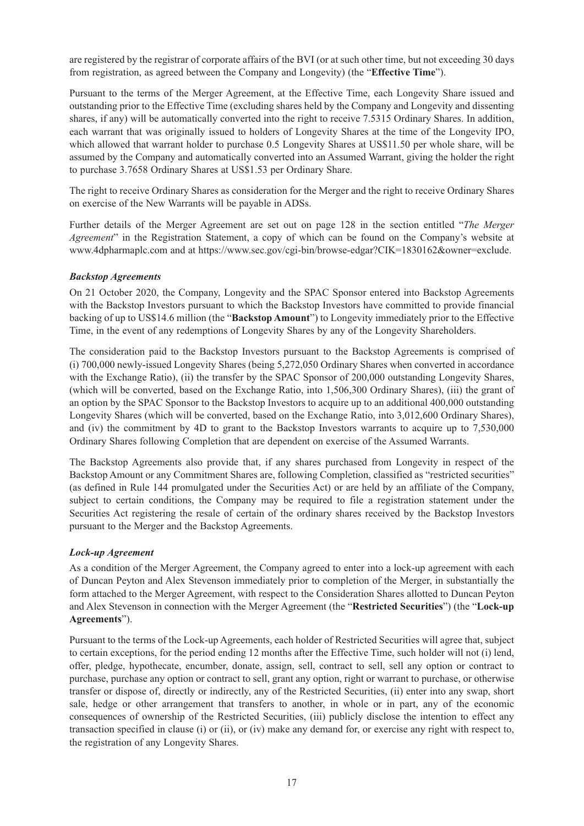are registered by the registrar of corporate affairs of the BVI (or at such other time, but not exceeding 30 days from registration, as agreed between the Company and Longevity) (the "**Effective Time**").

Pursuant to the terms of the Merger Agreement, at the Effective Time, each Longevity Share issued and outstanding prior to the Effective Time (excluding shares held by the Company and Longevity and dissenting shares, if any) will be automatically converted into the right to receive 7.5315 Ordinary Shares. In addition, each warrant that was originally issued to holders of Longevity Shares at the time of the Longevity IPO, which allowed that warrant holder to purchase 0.5 Longevity Shares at US\$11.50 per whole share, will be assumed by the Company and automatically converted into an Assumed Warrant, giving the holder the right to purchase 3.7658 Ordinary Shares at US\$1.53 per Ordinary Share.

The right to receive Ordinary Shares as consideration for the Merger and the right to receive Ordinary Shares on exercise of the New Warrants will be payable in ADSs.

Further details of the Merger Agreement are set out on page 128 in the section entitled "*The Merger Agreement*" in the Registration Statement, a copy of which can be found on the Company's website at www.4dpharmaplc.com and at https://www.sec.gov/cgi-bin/browse-edgar?CIK=1830162&owner=exclude.

### *Backstop Agreements*

On 21 October 2020, the Company, Longevity and the SPAC Sponsor entered into Backstop Agreements with the Backstop Investors pursuant to which the Backstop Investors have committed to provide financial backing of up to US\$14.6 million (the "**Backstop Amount**") to Longevity immediately prior to the Effective Time, in the event of any redemptions of Longevity Shares by any of the Longevity Shareholders.

The consideration paid to the Backstop Investors pursuant to the Backstop Agreements is comprised of (i) 700,000 newly-issued Longevity Shares (being 5,272,050 Ordinary Shares when converted in accordance with the Exchange Ratio), (ii) the transfer by the SPAC Sponsor of 200,000 outstanding Longevity Shares, (which will be converted, based on the Exchange Ratio, into 1,506,300 Ordinary Shares), (iii) the grant of an option by the SPAC Sponsor to the Backstop Investors to acquire up to an additional 400,000 outstanding Longevity Shares (which will be converted, based on the Exchange Ratio, into 3,012,600 Ordinary Shares), and (iv) the commitment by 4D to grant to the Backstop Investors warrants to acquire up to 7,530,000 Ordinary Shares following Completion that are dependent on exercise of the Assumed Warrants.

The Backstop Agreements also provide that, if any shares purchased from Longevity in respect of the Backstop Amount or any Commitment Shares are, following Completion, classified as "restricted securities" (as defined in Rule 144 promulgated under the Securities Act) or are held by an affiliate of the Company, subject to certain conditions, the Company may be required to file a registration statement under the Securities Act registering the resale of certain of the ordinary shares received by the Backstop Investors pursuant to the Merger and the Backstop Agreements.

### *Lock-up Agreement*

As a condition of the Merger Agreement, the Company agreed to enter into a lock-up agreement with each of Duncan Peyton and Alex Stevenson immediately prior to completion of the Merger, in substantially the form attached to the Merger Agreement, with respect to the Consideration Shares allotted to Duncan Peyton and Alex Stevenson in connection with the Merger Agreement (the "**Restricted Securities**") (the "**Lock-up Agreements**").

Pursuant to the terms of the Lock-up Agreements, each holder of Restricted Securities will agree that, subject to certain exceptions, for the period ending 12 months after the Effective Time, such holder will not (i) lend, offer, pledge, hypothecate, encumber, donate, assign, sell, contract to sell, sell any option or contract to purchase, purchase any option or contract to sell, grant any option, right or warrant to purchase, or otherwise transfer or dispose of, directly or indirectly, any of the Restricted Securities, (ii) enter into any swap, short sale, hedge or other arrangement that transfers to another, in whole or in part, any of the economic consequences of ownership of the Restricted Securities, (iii) publicly disclose the intention to effect any transaction specified in clause (i) or (ii), or (iv) make any demand for, or exercise any right with respect to, the registration of any Longevity Shares.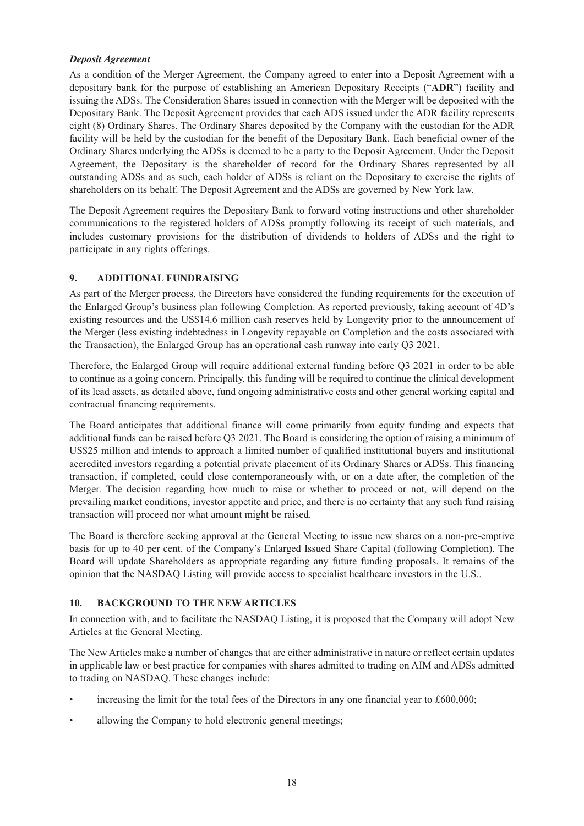#### *Deposit Agreement*

As a condition of the Merger Agreement, the Company agreed to enter into a Deposit Agreement with a depositary bank for the purpose of establishing an American Depositary Receipts ("**ADR**") facility and issuing the ADSs. The Consideration Shares issued in connection with the Merger will be deposited with the Depositary Bank. The Deposit Agreement provides that each ADS issued under the ADR facility represents eight (8) Ordinary Shares. The Ordinary Shares deposited by the Company with the custodian for the ADR facility will be held by the custodian for the benefit of the Depositary Bank. Each beneficial owner of the Ordinary Shares underlying the ADSs is deemed to be a party to the Deposit Agreement. Under the Deposit Agreement, the Depositary is the shareholder of record for the Ordinary Shares represented by all outstanding ADSs and as such, each holder of ADSs is reliant on the Depositary to exercise the rights of shareholders on its behalf. The Deposit Agreement and the ADSs are governed by New York law.

The Deposit Agreement requires the Depositary Bank to forward voting instructions and other shareholder communications to the registered holders of ADSs promptly following its receipt of such materials, and includes customary provisions for the distribution of dividends to holders of ADSs and the right to participate in any rights offerings.

### **9. ADDITIONAL FUNDRAISING**

As part of the Merger process, the Directors have considered the funding requirements for the execution of the Enlarged Group's business plan following Completion. As reported previously, taking account of 4D's existing resources and the US\$14.6 million cash reserves held by Longevity prior to the announcement of the Merger (less existing indebtedness in Longevity repayable on Completion and the costs associated with the Transaction), the Enlarged Group has an operational cash runway into early Q3 2021.

Therefore, the Enlarged Group will require additional external funding before Q3 2021 in order to be able to continue as a going concern. Principally, this funding will be required to continue the clinical development of its lead assets, as detailed above, fund ongoing administrative costs and other general working capital and contractual financing requirements.

The Board anticipates that additional finance will come primarily from equity funding and expects that additional funds can be raised before Q3 2021. The Board is considering the option of raising a minimum of US\$25 million and intends to approach a limited number of qualified institutional buyers and institutional accredited investors regarding a potential private placement of its Ordinary Shares or ADSs. This financing transaction, if completed, could close contemporaneously with, or on a date after, the completion of the Merger. The decision regarding how much to raise or whether to proceed or not, will depend on the prevailing market conditions, investor appetite and price, and there is no certainty that any such fund raising transaction will proceed nor what amount might be raised.

The Board is therefore seeking approval at the General Meeting to issue new shares on a non-pre-emptive basis for up to 40 per cent. of the Company's Enlarged Issued Share Capital (following Completion). The Board will update Shareholders as appropriate regarding any future funding proposals. It remains of the opinion that the NASDAQ Listing will provide access to specialist healthcare investors in the U.S..

### **10. BACKGROUND TO THE NEW ARTICLES**

In connection with, and to facilitate the NASDAQ Listing, it is proposed that the Company will adopt New Articles at the General Meeting.

The New Articles make a number of changes that are either administrative in nature or reflect certain updates in applicable law or best practice for companies with shares admitted to trading on AIM and ADSs admitted to trading on NASDAQ. These changes include:

- increasing the limit for the total fees of the Directors in any one financial year to £600,000;
- allowing the Company to hold electronic general meetings;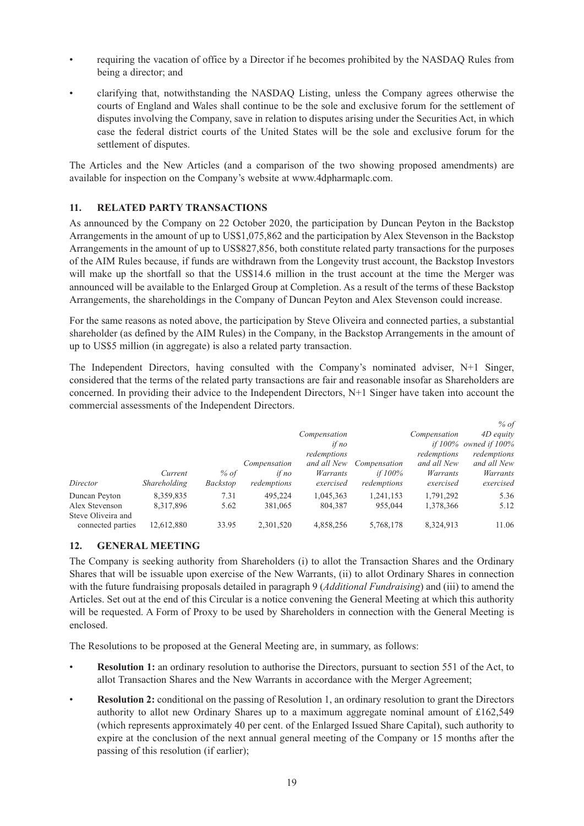- requiring the vacation of office by a Director if he becomes prohibited by the NASDAQ Rules from being a director; and
- clarifying that, notwithstanding the NASDAQ Listing, unless the Company agrees otherwise the courts of England and Wales shall continue to be the sole and exclusive forum for the settlement of disputes involving the Company, save in relation to disputes arising under the Securities Act, in which case the federal district courts of the United States will be the sole and exclusive forum for the settlement of disputes.

The Articles and the New Articles (and a comparison of the two showing proposed amendments) are available for inspection on the Company's website at www.4dpharmaplc.com.

# **11. RELATED PARTY TRANSACTIONS**

As announced by the Company on 22 October 2020, the participation by Duncan Peyton in the Backstop Arrangements in the amount of up to US\$1,075,862 and the participation by Alex Stevenson in the Backstop Arrangements in the amount of up to US\$827,856, both constitute related party transactions for the purposes of the AIM Rules because, if funds are withdrawn from the Longevity trust account, the Backstop Investors will make up the shortfall so that the US\$14.6 million in the trust account at the time the Merger was announced will be available to the Enlarged Group at Completion. As a result of the terms of these Backstop Arrangements, the shareholdings in the Company of Duncan Peyton and Alex Stevenson could increase.

For the same reasons as noted above, the participation by Steve Oliveira and connected parties, a substantial shareholder (as defined by the AIM Rules) in the Company, in the Backstop Arrangements in the amount of up to US\$5 million (in aggregate) is also a related party transaction.

The Independent Directors, having consulted with the Company's nominated adviser, N+1 Singer, considered that the terms of the related party transactions are fair and reasonable insofar as Shareholders are concerned. In providing their advice to the Independent Directors, N+1 Singer have taken into account the commercial assessments of the Independent Directors.

|              |                 |              |              |              |              | % of                        |
|--------------|-----------------|--------------|--------------|--------------|--------------|-----------------------------|
|              |                 |              | Compensation |              | Compensation | 4D equity                   |
|              |                 |              | if no        |              |              | if $100\%$ owned if $100\%$ |
|              |                 |              | redemptions  |              | redemptions  | redemptions                 |
|              |                 | Compensation | and all New  | Compensation | and all New  | and all New                 |
| Current      | % of            | if no        | Warrants     | if $100\%$   | Warrants     | Warrants                    |
| Shareholding | <b>Backstop</b> | redemptions  | exercised    | redemptions  | exercised    | exercised                   |
| 8,359,835    | 7.31            | 495.224      | 1,045,363    | 1,241,153    | 1,791,292    | 5.36                        |
| 8,317,896    | 5.62            | 381,065      | 804,387      | 955,044      | 1,378,366    | 5.12                        |
|              |                 |              |              |              |              |                             |
| 12,612,880   | 33.95           | 2.301.520    | 4,858,256    | 5,768,178    | 8,324,913    | 11.06                       |
|              |                 |              |              |              |              |                             |

# **12. GENERAL MEETING**

The Company is seeking authority from Shareholders (i) to allot the Transaction Shares and the Ordinary Shares that will be issuable upon exercise of the New Warrants, (ii) to allot Ordinary Shares in connection with the future fundraising proposals detailed in paragraph 9 (*Additional Fundraising*) and (iii) to amend the Articles. Set out at the end of this Circular is a notice convening the General Meeting at which this authority will be requested. A Form of Proxy to be used by Shareholders in connection with the General Meeting is enclosed.

The Resolutions to be proposed at the General Meeting are, in summary, as follows:

- **Resolution 1:** an ordinary resolution to authorise the Directors, pursuant to section 551 of the Act, to allot Transaction Shares and the New Warrants in accordance with the Merger Agreement;
- **Resolution 2:** conditional on the passing of Resolution 1, an ordinary resolution to grant the Directors authority to allot new Ordinary Shares up to a maximum aggregate nominal amount of £162,549 (which represents approximately 40 per cent. of the Enlarged Issued Share Capital), such authority to expire at the conclusion of the next annual general meeting of the Company or 15 months after the passing of this resolution (if earlier);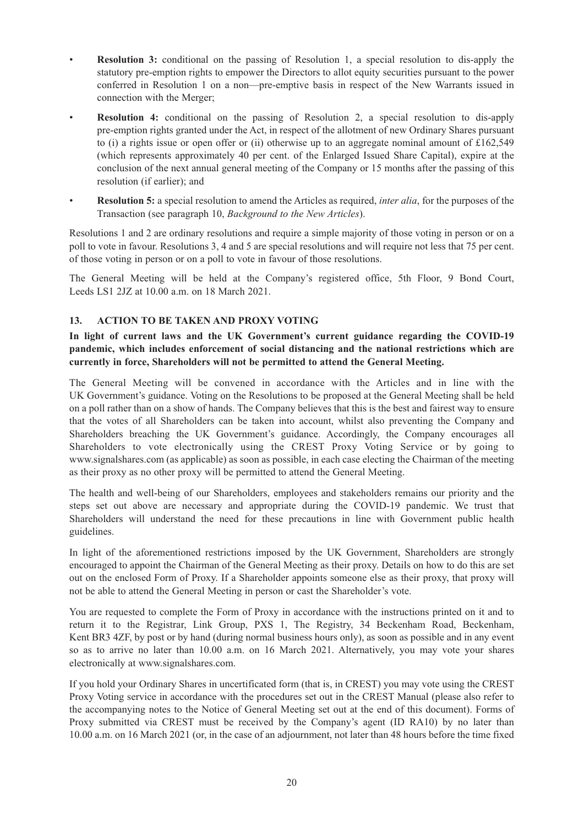- **Resolution 3:** conditional on the passing of Resolution 1, a special resolution to dis-apply the statutory pre-emption rights to empower the Directors to allot equity securities pursuant to the power conferred in Resolution 1 on a non—pre-emptive basis in respect of the New Warrants issued in connection with the Merger;
- **Resolution 4:** conditional on the passing of Resolution 2, a special resolution to dis-apply pre-emption rights granted under the Act, in respect of the allotment of new Ordinary Shares pursuant to (i) a rights issue or open offer or (ii) otherwise up to an aggregate nominal amount of  $\text{\pounds}162,549$ (which represents approximately 40 per cent. of the Enlarged Issued Share Capital), expire at the conclusion of the next annual general meeting of the Company or 15 months after the passing of this resolution (if earlier); and
- **Resolution 5:** a special resolution to amend the Articles as required, *inter alia*, for the purposes of the Transaction (see paragraph 10, *Background to the New Articles*).

Resolutions 1 and 2 are ordinary resolutions and require a simple majority of those voting in person or on a poll to vote in favour. Resolutions 3, 4 and 5 are special resolutions and will require not less that 75 per cent. of those voting in person or on a poll to vote in favour of those resolutions.

The General Meeting will be held at the Company's registered office, 5th Floor, 9 Bond Court, Leeds LS1 2JZ at 10.00 a.m. on 18 March 2021.

# **13. ACTION TO BE TAKEN AND PROXY VOTING**

**In light of current laws and the UK Government's current guidance regarding the COVID-19 pandemic, which includes enforcement of social distancing and the national restrictions which are currently in force, Shareholders will not be permitted to attend the General Meeting.**

The General Meeting will be convened in accordance with the Articles and in line with the UK Government's guidance. Voting on the Resolutions to be proposed at the General Meeting shall be held on a poll rather than on a show of hands. The Company believes that this is the best and fairest way to ensure that the votes of all Shareholders can be taken into account, whilst also preventing the Company and Shareholders breaching the UK Government's guidance. Accordingly, the Company encourages all Shareholders to vote electronically using the CREST Proxy Voting Service or by going to www.signalshares.com (as applicable) as soon as possible, in each case electing the Chairman of the meeting as their proxy as no other proxy will be permitted to attend the General Meeting.

The health and well-being of our Shareholders, employees and stakeholders remains our priority and the steps set out above are necessary and appropriate during the COVID-19 pandemic. We trust that Shareholders will understand the need for these precautions in line with Government public health guidelines.

In light of the aforementioned restrictions imposed by the UK Government, Shareholders are strongly encouraged to appoint the Chairman of the General Meeting as their proxy. Details on how to do this are set out on the enclosed Form of Proxy. If a Shareholder appoints someone else as their proxy, that proxy will not be able to attend the General Meeting in person or cast the Shareholder's vote.

You are requested to complete the Form of Proxy in accordance with the instructions printed on it and to return it to the Registrar, Link Group, PXS 1, The Registry, 34 Beckenham Road, Beckenham, Kent BR3 4ZF, by post or by hand (during normal business hours only), as soon as possible and in any event so as to arrive no later than 10.00 a.m. on 16 March 2021. Alternatively, you may vote your shares electronically at www.signalshares.com.

If you hold your Ordinary Shares in uncertificated form (that is, in CREST) you may vote using the CREST Proxy Voting service in accordance with the procedures set out in the CREST Manual (please also refer to the accompanying notes to the Notice of General Meeting set out at the end of this document). Forms of Proxy submitted via CREST must be received by the Company's agent (ID RA10) by no later than 10.00 a.m. on 16 March 2021 (or, in the case of an adjournment, not later than 48 hours before the time fixed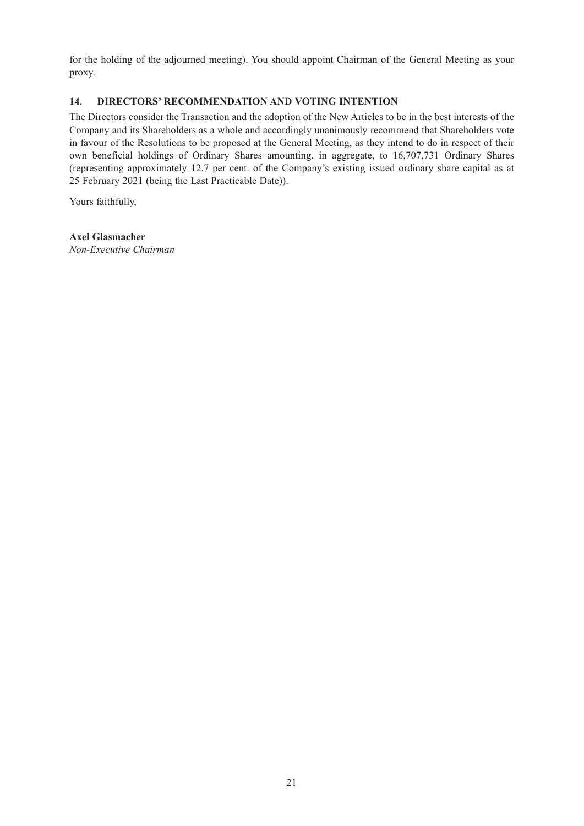for the holding of the adjourned meeting). You should appoint Chairman of the General Meeting as your proxy.

# **14. DIRECTORS' RECOMMENDATION AND VOTING INTENTION**

The Directors consider the Transaction and the adoption of the New Articles to be in the best interests of the Company and its Shareholders as a whole and accordingly unanimously recommend that Shareholders vote in favour of the Resolutions to be proposed at the General Meeting, as they intend to do in respect of their own beneficial holdings of Ordinary Shares amounting, in aggregate, to 16,707,731 Ordinary Shares (representing approximately 12.7 per cent. of the Company's existing issued ordinary share capital as at 25 February 2021 (being the Last Practicable Date)).

Yours faithfully,

# **Axel Glasmacher**

*Non-Executive Chairman*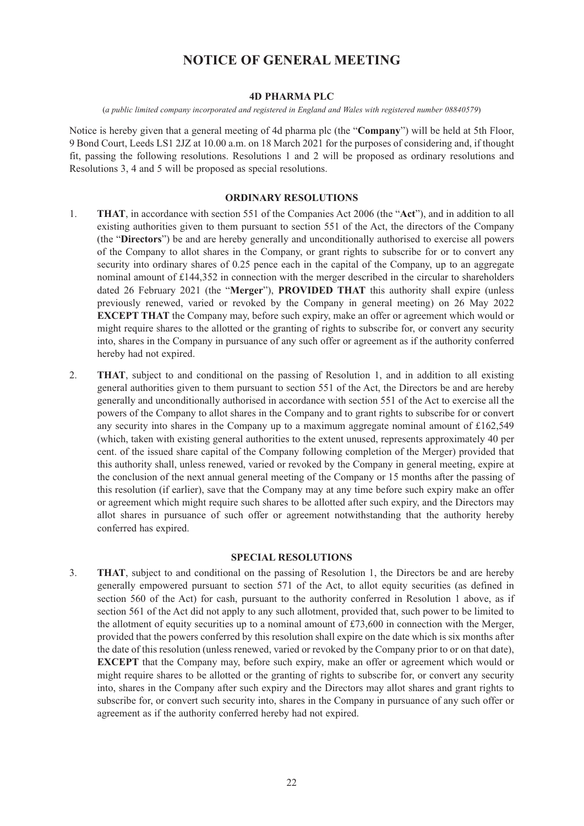# **NOTICE OF GENERAL MEETING**

#### **4D PHARMA PLC**

(*a public limited company incorporated and registered in England and Wales with registered number 08840579*)

Notice is hereby given that a general meeting of 4d pharma plc (the "**Company**") will be held at 5th Floor, 9 Bond Court, Leeds LS1 2JZ at 10.00 a.m. on 18 March 2021 for the purposes of considering and, if thought fit, passing the following resolutions. Resolutions 1 and 2 will be proposed as ordinary resolutions and Resolutions 3, 4 and 5 will be proposed as special resolutions.

#### **ORDINARY RESOLUTIONS**

- 1. **THAT**, in accordance with section 551 of the Companies Act 2006 (the "**Act**"), and in addition to all existing authorities given to them pursuant to section 551 of the Act, the directors of the Company (the "**Directors**") be and are hereby generally and unconditionally authorised to exercise all powers of the Company to allot shares in the Company, or grant rights to subscribe for or to convert any security into ordinary shares of 0.25 pence each in the capital of the Company, up to an aggregate nominal amount of £144,352 in connection with the merger described in the circular to shareholders dated 26 February 2021 (the "**Merger**"), **PROVIDED THAT** this authority shall expire (unless previously renewed, varied or revoked by the Company in general meeting) on 26 May 2022 **EXCEPT THAT** the Company may, before such expiry, make an offer or agreement which would or might require shares to the allotted or the granting of rights to subscribe for, or convert any security into, shares in the Company in pursuance of any such offer or agreement as if the authority conferred hereby had not expired.
- 2. **THAT**, subject to and conditional on the passing of Resolution 1, and in addition to all existing general authorities given to them pursuant to section 551 of the Act, the Directors be and are hereby generally and unconditionally authorised in accordance with section 551 of the Act to exercise all the powers of the Company to allot shares in the Company and to grant rights to subscribe for or convert any security into shares in the Company up to a maximum aggregate nominal amount of £162,549 (which, taken with existing general authorities to the extent unused, represents approximately 40 per cent. of the issued share capital of the Company following completion of the Merger) provided that this authority shall, unless renewed, varied or revoked by the Company in general meeting, expire at the conclusion of the next annual general meeting of the Company or 15 months after the passing of this resolution (if earlier), save that the Company may at any time before such expiry make an offer or agreement which might require such shares to be allotted after such expiry, and the Directors may allot shares in pursuance of such offer or agreement notwithstanding that the authority hereby conferred has expired.

#### **SPECIAL RESOLUTIONS**

3. **THAT**, subject to and conditional on the passing of Resolution 1, the Directors be and are hereby generally empowered pursuant to section 571 of the Act, to allot equity securities (as defined in section 560 of the Act) for cash, pursuant to the authority conferred in Resolution 1 above, as if section 561 of the Act did not apply to any such allotment, provided that, such power to be limited to the allotment of equity securities up to a nominal amount of £73,600 in connection with the Merger, provided that the powers conferred by this resolution shall expire on the date which is six months after the date of this resolution (unless renewed, varied or revoked by the Company prior to or on that date), **EXCEPT** that the Company may, before such expiry, make an offer or agreement which would or might require shares to be allotted or the granting of rights to subscribe for, or convert any security into, shares in the Company after such expiry and the Directors may allot shares and grant rights to subscribe for, or convert such security into, shares in the Company in pursuance of any such offer or agreement as if the authority conferred hereby had not expired.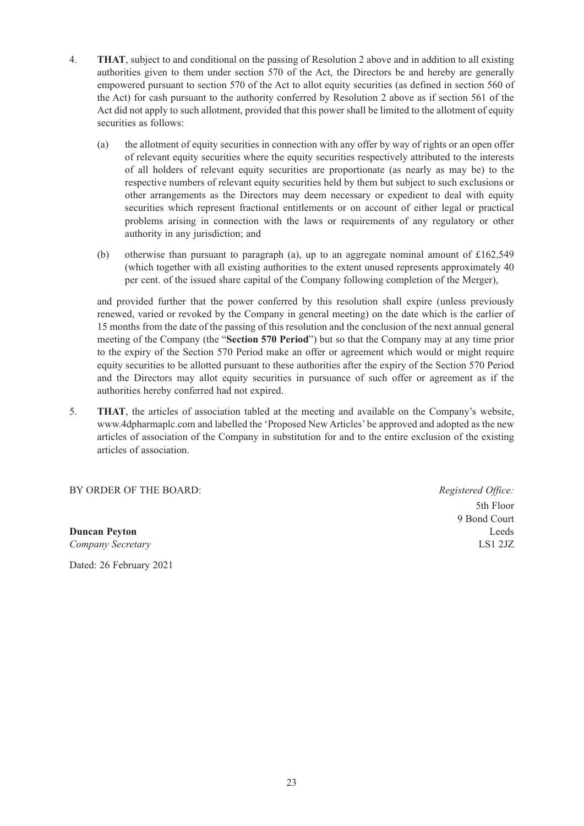- 4. **THAT**, subject to and conditional on the passing of Resolution 2 above and in addition to all existing authorities given to them under section 570 of the Act, the Directors be and hereby are generally empowered pursuant to section 570 of the Act to allot equity securities (as defined in section 560 of the Act) for cash pursuant to the authority conferred by Resolution 2 above as if section 561 of the Act did not apply to such allotment, provided that this power shall be limited to the allotment of equity securities as follows:
	- (a) the allotment of equity securities in connection with any offer by way of rights or an open offer of relevant equity securities where the equity securities respectively attributed to the interests of all holders of relevant equity securities are proportionate (as nearly as may be) to the respective numbers of relevant equity securities held by them but subject to such exclusions or other arrangements as the Directors may deem necessary or expedient to deal with equity securities which represent fractional entitlements or on account of either legal or practical problems arising in connection with the laws or requirements of any regulatory or other authority in any jurisdiction; and
	- (b) otherwise than pursuant to paragraph (a), up to an aggregate nominal amount of £162,549 (which together with all existing authorities to the extent unused represents approximately 40 per cent. of the issued share capital of the Company following completion of the Merger),

and provided further that the power conferred by this resolution shall expire (unless previously renewed, varied or revoked by the Company in general meeting) on the date which is the earlier of 15 months from the date of the passing of this resolution and the conclusion of the next annual general meeting of the Company (the "**Section 570 Period**") but so that the Company may at any time prior to the expiry of the Section 570 Period make an offer or agreement which would or might require equity securities to be allotted pursuant to these authorities after the expiry of the Section 570 Period and the Directors may allot equity securities in pursuance of such offer or agreement as if the authorities hereby conferred had not expired.

5. **THAT**, the articles of association tabled at the meeting and available on the Company's website, www.4dpharmaplc.com and labelled the 'Proposed New Articles' be approved and adopted as the new articles of association of the Company in substitution for and to the entire exclusion of the existing articles of association.

BY ORDER OF THE BOARD:*Registered Office:*

**Duncan Peyton** Leeds *Company Secretary* LS1 2JZ Dated: 26 February 2021

 5th Floor 9 Bond Court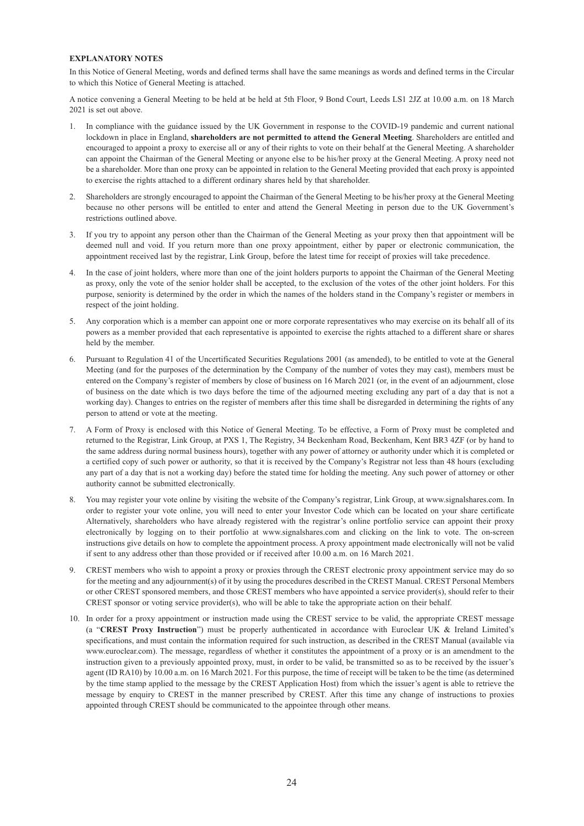#### **EXPLANATORY NOTES**

In this Notice of General Meeting, words and defined terms shall have the same meanings as words and defined terms in the Circular to which this Notice of General Meeting is attached.

A notice convening a General Meeting to be held at be held at 5th Floor, 9 Bond Court, Leeds LS1 2JZ at 10.00 a.m. on 18 March 2021 is set out above.

- In compliance with the guidance issued by the UK Government in response to the COVID-19 pandemic and current national lockdown in place in England, **shareholders are not permitted to attend the General Meeting**. Shareholders are entitled and encouraged to appoint a proxy to exercise all or any of their rights to vote on their behalf at the General Meeting. A shareholder can appoint the Chairman of the General Meeting or anyone else to be his/her proxy at the General Meeting. A proxy need not be a shareholder. More than one proxy can be appointed in relation to the General Meeting provided that each proxy is appointed to exercise the rights attached to a different ordinary shares held by that shareholder.
- 2. Shareholders are strongly encouraged to appoint the Chairman of the General Meeting to be his/her proxy at the General Meeting because no other persons will be entitled to enter and attend the General Meeting in person due to the UK Government's restrictions outlined above.
- 3. If you try to appoint any person other than the Chairman of the General Meeting as your proxy then that appointment will be deemed null and void. If you return more than one proxy appointment, either by paper or electronic communication, the appointment received last by the registrar, Link Group, before the latest time for receipt of proxies will take precedence.
- 4. In the case of joint holders, where more than one of the joint holders purports to appoint the Chairman of the General Meeting as proxy, only the vote of the senior holder shall be accepted, to the exclusion of the votes of the other joint holders. For this purpose, seniority is determined by the order in which the names of the holders stand in the Company's register or members in respect of the joint holding.
- 5. Any corporation which is a member can appoint one or more corporate representatives who may exercise on its behalf all of its powers as a member provided that each representative is appointed to exercise the rights attached to a different share or shares held by the member.
- 6. Pursuant to Regulation 41 of the Uncertificated Securities Regulations 2001 (as amended), to be entitled to vote at the General Meeting (and for the purposes of the determination by the Company of the number of votes they may cast), members must be entered on the Company's register of members by close of business on 16 March 2021 (or, in the event of an adjournment, close of business on the date which is two days before the time of the adjourned meeting excluding any part of a day that is not a working day). Changes to entries on the register of members after this time shall be disregarded in determining the rights of any person to attend or vote at the meeting.
- 7. A Form of Proxy is enclosed with this Notice of General Meeting. To be effective, a Form of Proxy must be completed and returned to the Registrar, Link Group, at PXS 1, The Registry, 34 Beckenham Road, Beckenham, Kent BR3 4ZF (or by hand to the same address during normal business hours), together with any power of attorney or authority under which it is completed or a certified copy of such power or authority, so that it is received by the Company's Registrar not less than 48 hours (excluding any part of a day that is not a working day) before the stated time for holding the meeting. Any such power of attorney or other authority cannot be submitted electronically.
- 8. You may register your vote online by visiting the website of the Company's registrar, Link Group, at www.signalshares.com. In order to register your vote online, you will need to enter your Investor Code which can be located on your share certificate Alternatively, shareholders who have already registered with the registrar's online portfolio service can appoint their proxy electronically by logging on to their portfolio at www.signalshares.com and clicking on the link to vote. The on-screen instructions give details on how to complete the appointment process. A proxy appointment made electronically will not be valid if sent to any address other than those provided or if received after 10.00 a.m. on 16 March 2021.
- 9. CREST members who wish to appoint a proxy or proxies through the CREST electronic proxy appointment service may do so for the meeting and any adjournment(s) of it by using the procedures described in the CREST Manual. CREST Personal Members or other CREST sponsored members, and those CREST members who have appointed a service provider(s), should refer to their CREST sponsor or voting service provider(s), who will be able to take the appropriate action on their behalf.
- 10. In order for a proxy appointment or instruction made using the CREST service to be valid, the appropriate CREST message (a "**CREST Proxy Instruction**") must be properly authenticated in accordance with Euroclear UK & Ireland Limited's specifications, and must contain the information required for such instruction, as described in the CREST Manual (available via www.euroclear.com). The message, regardless of whether it constitutes the appointment of a proxy or is an amendment to the instruction given to a previously appointed proxy, must, in order to be valid, be transmitted so as to be received by the issuer's agent (ID RA10) by 10.00 a.m. on 16 March 2021. For this purpose, the time of receipt will be taken to be the time (as determined by the time stamp applied to the message by the CREST Application Host) from which the issuer's agent is able to retrieve the message by enquiry to CREST in the manner prescribed by CREST. After this time any change of instructions to proxies appointed through CREST should be communicated to the appointee through other means.